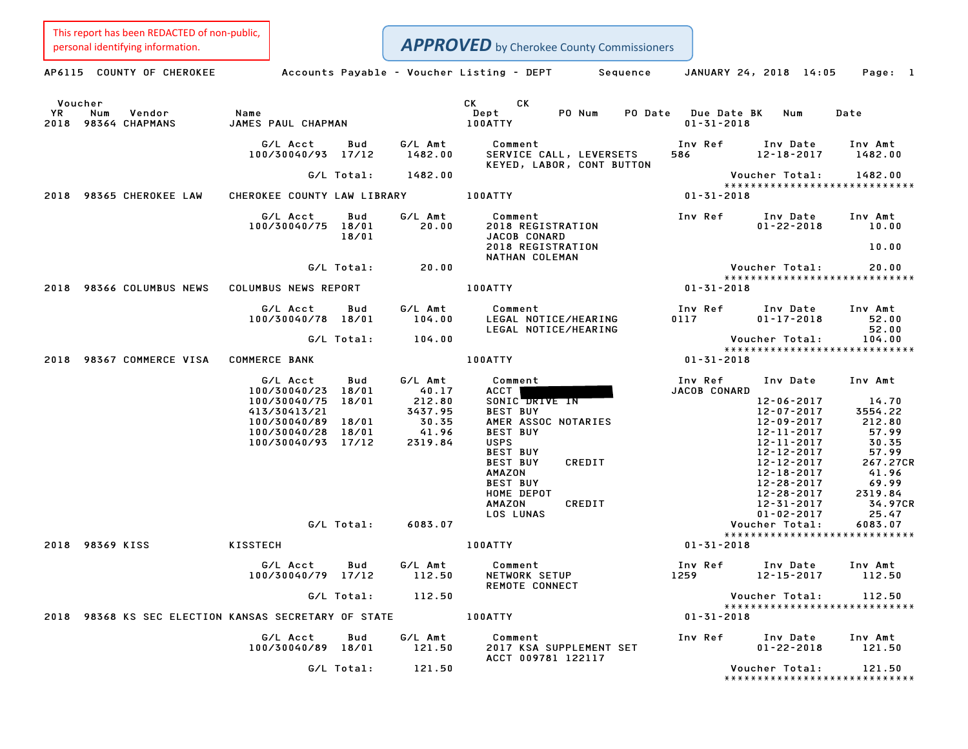This report has been REDACTED of non-public,<br>personal identifying information.

|            | personal identifying information.                    |                                                                                                                      |                                |                                                                    | <b>APPROVED</b> by Cherokee County Commissioners                                                                                                                                                                                                 |                                        |                                                                                                                                                                                                    |                                                                                                                               |
|------------|------------------------------------------------------|----------------------------------------------------------------------------------------------------------------------|--------------------------------|--------------------------------------------------------------------|--------------------------------------------------------------------------------------------------------------------------------------------------------------------------------------------------------------------------------------------------|----------------------------------------|----------------------------------------------------------------------------------------------------------------------------------------------------------------------------------------------------|-------------------------------------------------------------------------------------------------------------------------------|
|            | AP6115 COUNTY OF CHEROKEE                            |                                                                                                                      |                                |                                                                    | Accounts Payable - Voucher Listing - DEPT<br>Sequence                                                                                                                                                                                            |                                        | JANUARY 24, 2018 14:05                                                                                                                                                                             | Page: 1                                                                                                                       |
| YR<br>2018 | Voucher<br>Num<br>Vendor<br>98364 CHAPMANS           | Name<br>JAMES PAUL CHAPMAN                                                                                           |                                |                                                                    | CK<br>CK<br>PO Num<br>PO Date<br>Dept<br>100ATTY                                                                                                                                                                                                 | <b>Due Date BK</b><br>$01 - 31 - 2018$ | Num                                                                                                                                                                                                | Date                                                                                                                          |
|            |                                                      | G/L Acct<br>100/30040/93 17/12                                                                                       | Bud                            | G/L Amt<br>1482.00                                                 | Comment<br>SERVICE CALL, LEVERSETS<br>KEYED, LABOR, CONT BUTTON                                                                                                                                                                                  | Inv Ref<br>586                         | Inv Date<br>$12 - 18 - 2017$                                                                                                                                                                       | Inv Amt<br>1482.00                                                                                                            |
| 2018       | 98365 CHEROKEE LAW                                   | CHEROKEE COUNTY LAW LIBRARY                                                                                          | G/L Total:                     | 1482.00                                                            | 100ATTY                                                                                                                                                                                                                                          | $01 - 31 - 2018$                       | Voucher Total:                                                                                                                                                                                     | 1482.00<br>*****************************                                                                                      |
|            |                                                      | G/L Acct<br>100/30040/75 18/01                                                                                       | Bud<br>18/01                   | G/L Amt<br>20.00                                                   | Comment<br>2018 REGISTRATION<br>JACOB CONARD<br>2018 REGISTRATION<br>NATHAN COLEMAN                                                                                                                                                              | Inv Ref                                | Inv Date<br>$01 - 22 - 2018$                                                                                                                                                                       | Inv Amt<br>10.00<br>10.00                                                                                                     |
|            |                                                      |                                                                                                                      | G/L Total:                     | 20.00                                                              |                                                                                                                                                                                                                                                  |                                        | Voucher Total:                                                                                                                                                                                     | 20.00<br>******************************                                                                                       |
|            | 2018 98366 COLUMBUS NEWS                             | <b>COLUMBUS NEWS REPORT</b>                                                                                          |                                |                                                                    | 100ATTY                                                                                                                                                                                                                                          | $01 - 31 - 2018$                       |                                                                                                                                                                                                    |                                                                                                                               |
|            |                                                      | G/L Acct<br>100/30040/78 18/01                                                                                       | Bud                            | G/L Amt<br>104.00                                                  | Comment<br>LEGAL NOTICE/HEARING<br>LEGAL NOTICE/HEARING                                                                                                                                                                                          | Inv Ref<br>0117                        | Inv Date<br>$01 - 17 - 2018$                                                                                                                                                                       | Inv Amt<br>52.00<br>52.00                                                                                                     |
|            |                                                      |                                                                                                                      | G/L Total:                     | 104.00                                                             |                                                                                                                                                                                                                                                  |                                        | Voucher Total:                                                                                                                                                                                     | 104.00<br>*****************************                                                                                       |
| 2018       | 98367 COMMERCE VISA                                  | <b>COMMERCE BANK</b>                                                                                                 |                                |                                                                    | 100ATTY                                                                                                                                                                                                                                          | $01 - 31 - 2018$                       |                                                                                                                                                                                                    |                                                                                                                               |
|            |                                                      | G/L Acct<br>100/30040/23<br>100/30040/75<br>413/30413/21<br>100/30040/89 18/01<br>100/30040/28<br>100/30040/93 17/12 | Bud<br>18/01<br>18/01<br>18/01 | G/L Amt<br>40.17<br>212.80<br>3437.95<br>30.35<br>41.96<br>2319.84 | Comment<br>ACCT<br>SONIC DRIVE IN<br><b>BEST BUY</b><br>AMER ASSOC NOTARIES<br><b>BEST BUY</b><br><b>USPS</b><br><b>BEST BUY</b><br><b>BEST BUY</b><br>CREDIT<br>AMAZON<br><b>BEST BUY</b><br>HOME DEPOT<br><b>AMAZON</b><br>CREDIT<br>LOS LUNAS | Inv Ref<br>JACOB CONARD                | Inv Date<br>12-06-2017<br>$12 - 07 - 2017$<br>12-09-2017<br>12-11-2017<br>12-11-2017<br>12-12-2017<br>12-12-2017<br>$12 - 18 - 2017$<br>12-28-2017<br>12-28-2017<br>12-31-2017<br>$01 - 02 - 2017$ | Inv Amt<br>14.70<br>3554.22<br>212.80<br>57.99<br>30.35<br>57.99<br>267.27CR<br>41.96<br>69.99<br>2319.84<br>34.97CR<br>25.47 |
|            |                                                      |                                                                                                                      | G/L Total:                     | 6083.07                                                            |                                                                                                                                                                                                                                                  |                                        | Voucher Total:                                                                                                                                                                                     | 6083.07<br>*****************************                                                                                      |
|            | 2018 98369 KISS                                      | KISSTECH                                                                                                             |                                |                                                                    | 100ATTY                                                                                                                                                                                                                                          | $01 - 31 - 2018$                       |                                                                                                                                                                                                    |                                                                                                                               |
|            |                                                      | G/L Acct<br>100/30040/79 17/12                                                                                       | Bud                            | G/L Amt<br>112.50                                                  | Comment<br>NETWORK SETUP<br>REMOTE CONNECT                                                                                                                                                                                                       | Inv Ref<br>1259                        | Inv Date<br>12-15-2017                                                                                                                                                                             | Inv Amt<br>112.50                                                                                                             |
|            |                                                      |                                                                                                                      | G/L Total:                     | 112.50                                                             |                                                                                                                                                                                                                                                  |                                        | Voucher Total:                                                                                                                                                                                     | 112.50<br>*****************************                                                                                       |
|            | 2018 98368 KS SEC ELECTION KANSAS SECRETARY OF STATE |                                                                                                                      |                                |                                                                    | 100ATTY                                                                                                                                                                                                                                          | $01 - 31 - 2018$                       |                                                                                                                                                                                                    |                                                                                                                               |
|            |                                                      | G/L Acct<br>100/30040/89 18/01                                                                                       | Bud                            | G/L Amt<br>121.50                                                  | Comment<br>2017 KSA SUPPLEMENT SET<br>ACCT 009781 122117                                                                                                                                                                                         | Inv Ref                                | Inv Date<br>$01 - 22 - 2018$                                                                                                                                                                       | Inv Amt<br>121.50                                                                                                             |
|            |                                                      |                                                                                                                      | G/L Total:                     | 121.50                                                             |                                                                                                                                                                                                                                                  |                                        | Voucher Total:                                                                                                                                                                                     | 121.50<br>*****************************                                                                                       |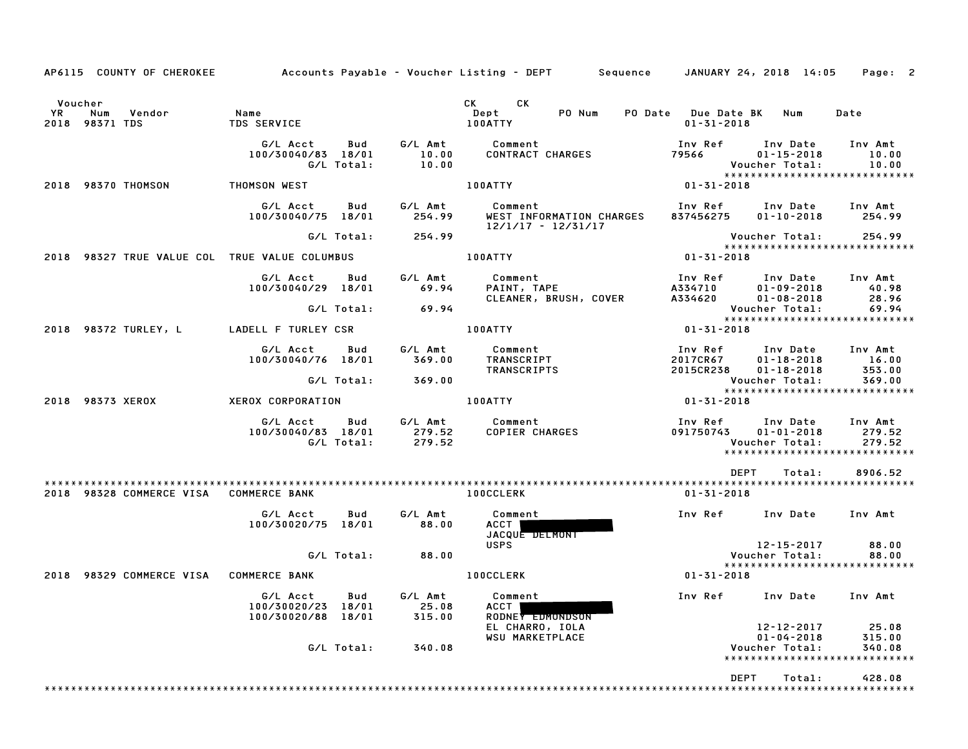|                                                                             |                                          |            |                    | AP6115 COUNTY OF CHEROKEE Accounts Payable - Voucher Listing - DEPT Sequence JANUARY 24, 2018 14:05 Page: 2 |                  |                                                                                                                             |                    |
|-----------------------------------------------------------------------------|------------------------------------------|------------|--------------------|-------------------------------------------------------------------------------------------------------------|------------------|-----------------------------------------------------------------------------------------------------------------------------|--------------------|
| Voucher<br>YR D<br>Num Vendor<br>2018 98371 TDS                             | <b>Name</b><br>TDS SERVICE               |            |                    | CK CK<br>PO Num<br>Dept<br>100ATTY                                                                          | $01 - 31 - 2018$ | PO Date Due Date BK Num                                                                                                     | Date               |
|                                                                             | G/L Acct Bud<br>100/30040/83 18/01       | G/L Total: | 10.00              | G/L Amt Comment<br>10.00 CONTRACT CHARGES                                                                   | 79566            | Inv Ref Inv Date Inv Amt<br>$01 - 15 - 2018$<br>Voucher Total:                                                              | 10.00<br>10.00     |
| 2018 98370 THOMSON                                                          | THOMSON WEST                             |            |                    | <b>100ATTY</b>                                                                                              | $01 - 31 - 2018$ |                                                                                                                             |                    |
|                                                                             | G/L Acct Bud<br>100/30040/75 18/01       |            | 254.99             | G/L Amt Comment<br>WEST INFORMATION CHARGES<br>12/1/17 - 12/31/17                                           | 837456275        | Inv Ref      Inv Date     Inv Amt<br>$01 - 10 - 2018$ 254.99                                                                |                    |
|                                                                             |                                          |            | G/L Total: 254.99  |                                                                                                             |                  | Voucher Total:                                                                                                              | 254.99             |
|                                                                             |                                          |            |                    | 100ATTY                                                                                                     | $01 - 31 - 2018$ |                                                                                                                             |                    |
|                                                                             | G/L Acct Bud<br>100/30040/29 18/01       |            | 69.94              | G/L Amt Comment<br>PAINT, TAPE<br>CLEANER, BRUSH, COVER                                                     |                  | 1nv Ref       Inv Date     Inv Amt<br>A334710         01–09–2018          40.98<br>A334620         01–08–2018         28.96 |                    |
|                                                                             |                                          |            | $G/L$ Total: 69.94 |                                                                                                             |                  | Voucher Total:                                                                                                              | $\overline{69.94}$ |
|                                                                             |                                          |            |                    |                                                                                                             | $01 - 31 - 2018$ |                                                                                                                             |                    |
|                                                                             | G/L Acct Bud<br>100/30040/76 18/01       |            | G⁄L Amt<br>369.00  | Comment<br><b>TRANSCRIPT</b><br>TRANSCRIPTS                                                                 |                  | Inv Ref Inv Date Inv Amt<br>2017CR67  01-18-2018  16.00<br>2015CR238 01-18-2018                                             | 353.00             |
|                                                                             |                                          | G/L Total: | 369.00             |                                                                                                             |                  | Voucher Total: 369.00<br>***************************                                                                        |                    |
| 2018 98373 XEROX                                                            |                                          |            |                    |                                                                                                             | $01 - 31 - 2018$ |                                                                                                                             |                    |
|                                                                             |                                          |            |                    | G/L Acct - Bud - G/L Amt - Comment<br>100/30040/83 18/01 279.52 COPIER CHARGES<br>G/L Total: 279.52         |                  | Inv Ref Inv Date Inv Amt<br>Voucher Total:                                                                                  | 279.52             |
|                                                                             |                                          |            |                    |                                                                                                             |                  | DEPT<br>Total:                                                                                                              | 8906.52            |
| 2018 98328 COMMERCE VISA COMMERCE BANK                                      |                                          |            |                    | <b>100CCLERK</b>                                                                                            | 01-31-2018       |                                                                                                                             |                    |
|                                                                             | G/L Acct<br>100/30020/75 18/01           | <b>Bud</b> | G/L Amt<br>88.00   | Comment<br>ACCT  <br>JACQUE DELMONT<br><b>USPS</b>                                                          |                  | Inv Ref Inv Date Inv Amt<br>12-15-2017                                                                                      | 88.00              |
|                                                                             |                                          |            | $G/L$ Total: 88.00 |                                                                                                             |                  | Voucher Total:                                                                                                              | 88.00              |
| 2018 98329 COMMERCE VISA COMMERCE BANK <b>And Account CONTENT</b> 100CCLERK |                                          |            |                    |                                                                                                             | 01-31-2018       | *****************************                                                                                               |                    |
|                                                                             | 100/30020/23 18/01<br>100/30020/88 18/01 |            | 25.08<br>315.00    | G/L Acct Bud G/L Amt Comment<br>ACCT  <br>RODNEY EDMONDSON<br>EL CHARRO, IOLA                               |                  | Inv Ref      Inv Date     Inv Amt<br>12-12-2017                                                                             | 25.08              |
|                                                                             |                                          | G/L Total: | 340.08             | <b>WSU MARKETPLACE</b>                                                                                      |                  | $01 - 04 - 2018$<br>Voucher Total:<br>*****************************                                                         | 315.00<br>340.08   |
|                                                                             |                                          |            |                    |                                                                                                             |                  | DEPT<br>Total:                                                                                                              | 428.08             |
|                                                                             |                                          |            |                    |                                                                                                             |                  |                                                                                                                             |                    |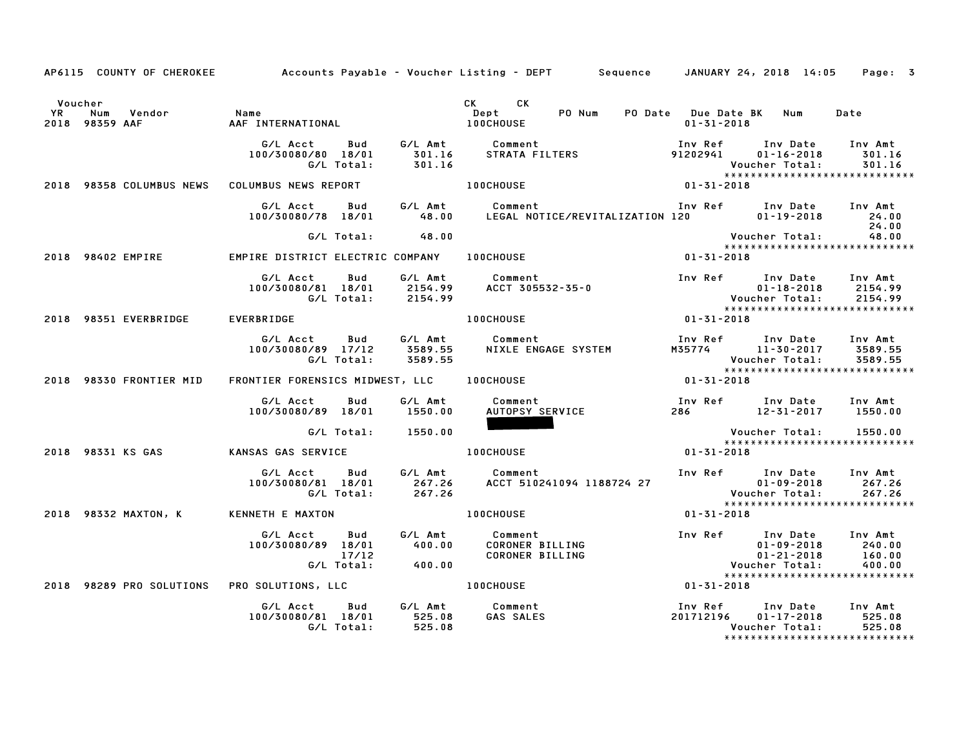|         |                          |                                                                                                         | AP6115 COUNTY OF CHEROKEE Accounts Payable - Voucher Listing - DEPT Sequence JANUARY 24, 2018 14:05                                                                                                                                          |                                                         | Page: 3                    |
|---------|--------------------------|---------------------------------------------------------------------------------------------------------|----------------------------------------------------------------------------------------------------------------------------------------------------------------------------------------------------------------------------------------------|---------------------------------------------------------|----------------------------|
| Voucher |                          | The Mum Vendor Mame Name (Dept Dept Dept )<br>2018 98359 AAF (AAF INTERNATIONAL ) 2018 98359 AAF (DIPT) | CK CK                                                                                                                                                                                                                                        | PO Num PO Date Due Date BK Num Date<br>$01 - 31 - 2018$ |                            |
|         |                          |                                                                                                         | G/L Acct Bud G/L Amt Comment Inv Ref Inv Date Inv Amt<br>100/30080/80 18/01 301.16 STRATA—FILTERS 91202941 01-16-2018 301.16<br>C/L Total: 301.16 STRATA—FILTERS 98358-COLUMBUS-NEWS COLUMBUS-NEWS REPORT 100CHOUSE 100CHOUSE 98358-         |                                                         |                            |
|         |                          |                                                                                                         |                                                                                                                                                                                                                                              |                                                         |                            |
|         |                          |                                                                                                         | G/L Acct       Bud        G/L Amt          Comment                               Inv Ref       Inv Date      Inv Amt<br>100/30080/78   18/01          48.00      LEGAL NOTICE/REVITALIZATION 120              01–19–2018                     |                                                         | 24.00                      |
|         |                          | G/L Total: 48.00                                                                                        |                                                                                                                                                                                                                                              | Voucher Total: 48.00<br>*****************************   |                            |
|         |                          | 2018 98402 EMPIRE <b>EMPIRE DISTRICT ELECTRIC COMPANY</b> 100CHOUSE                                     | $01 - 31 - 2018$                                                                                                                                                                                                                             |                                                         |                            |
|         |                          |                                                                                                         | 6/L Acct Bud G/L Amt Comment Inv Ref Inv Date Inv Amt<br>100/30080/81 18/01 2154.99 ACCT 305532–35–0<br>6/L Total: 2154.99 ACCT 305532–35–0<br>ERBRIDGE 100CHOUSE 100CHOUSE 01-31-2018<br>ERBRIDGE 100CHOUSE 100CHOUSE 100CHOUSE 101-31-20   |                                                         |                            |
|         | 2018 98351 EVERBRIDGE    | EVERBRIDGE                                                                                              |                                                                                                                                                                                                                                              |                                                         |                            |
|         |                          | 100/30080/89 17/12<br>G/L Total:                                                                        | G/L Acct Bud G/L Amt Comment                                                                                                                                                                                                                 |                                                         |                            |
|         | 2018 98330 FRONTIER MID  | FRONTIER FORENSICS MIDWEST, LLC 100CHOUSE                                                               |                                                                                                                                                                                                                                              |                                                         |                            |
|         |                          | G/L Acct Bud<br>100/30080/89 18/01 1550.00                                                              |                                                                                                                                                                                                                                              |                                                         |                            |
|         |                          | G/L Total: 1550.00                                                                                      |                                                                                                                                                                                                                                              | Voucher Total: 1550.00                                  |                            |
|         |                          | 2018 98331 KS GAS               KANSAS GAS SERVICE                         100CHOUSE                    | $\begin{array}{c} \text{Vouc}\\ \text{*} \text{*} \text{*} \text{*} \text{*} \text{*} \\ 01 - 31 - 2018 \end{array}$                                                                                                                         | ******************************                          |                            |
|         |                          |                                                                                                         |                                                                                                                                                                                                                                              |                                                         | 267.26<br>267.26           |
|         | 2018 98332 MAXTON, K     |                                                                                                         | KENNETH E MAXTON NEWSLED AND DOCHOUSE                                                                                                                                                                                                        | 01-31-2018                                              |                            |
|         |                          |                                                                                                         | G/LAcct Bud G/LAmt Comment<br>100/30080/89 18/01 400.00 CORONER BILLING 100-2018 240.00<br>17/12 CORONER BILLING 11-2018 160.00<br>17/12 CORONER BILLING 11-21-2018 160.00<br>100CHOUSE 100COUSE 101-31-2018 160.00<br>100CHOUSE 101-31-2018 | *****************************                           | 240.00<br>160.00<br>400.00 |
|         | 2018 98289 PRO SOLUTIONS | PRO SOLUTIONS, LLC 100CHOUSE                                                                            |                                                                                                                                                                                                                                              |                                                         |                            |
|         |                          | G/L Acct<br>100/30080/81 18/01 525.08<br>G/L Total: 525.08                                              |                                                                                                                                                                                                                                              | Voucher Total:<br>******************************        | 525.08<br>525.08           |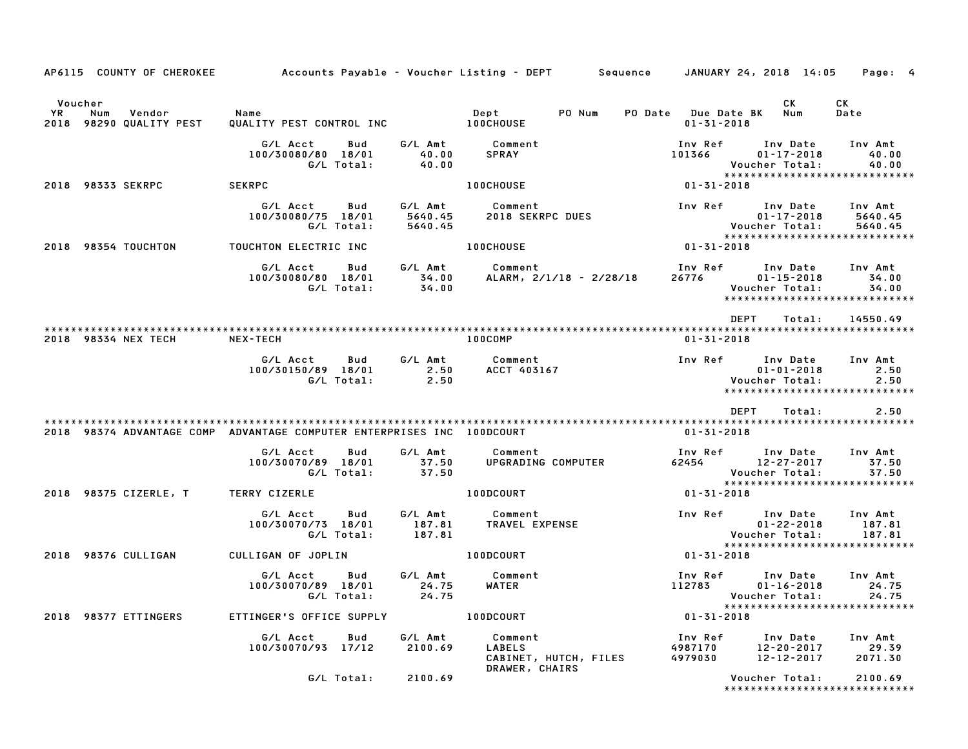| AP6115 COUNTY OF CHEROKEE                                              |                                                     |                               | Accounts Payable – Voucher Listing – DEPT         Sequence     JANUARY 24, 2018  14:05 |                                                |                                                                                         | Page: 4                       |
|------------------------------------------------------------------------|-----------------------------------------------------|-------------------------------|----------------------------------------------------------------------------------------|------------------------------------------------|-----------------------------------------------------------------------------------------|-------------------------------|
| Voucher<br><b>YR</b><br>Num<br>Vendor<br>2018 98290 QUALITY PEST       | Name<br>QUALITY PEST CONTROL INC                    |                               | PO Num<br>Dept<br><b>100CHOUSE</b>                                                     | <b>PO Date</b> Due Date BK<br>$01 - 31 - 2018$ | CK<br>Num                                                                               | СK<br>Date                    |
|                                                                        | G/L Acct<br>Bud<br>100/30080/80 18/01<br>G/L Total: | G/L Amt<br>40.00<br>40.00     | Comment<br><b>SPRAY</b>                                                                | Inv Ref<br>101366                              | Inv Date<br>$01 - 17 - 2018$<br>Voucher Total:<br>*****************************         | Inv Amt<br>40.00<br>40.00     |
| 2018 98333 SEKRPC                                                      | <b>SEKRPC</b>                                       |                               | 100CHOUSE                                                                              | 01-31-2018                                     |                                                                                         |                               |
|                                                                        | G/L Acct<br>Bud<br>100/30080/75 18/01<br>G/L Total: | G/L Amt<br>5640.45<br>5640.45 | Comment<br><b>2018 SEKRPC DUES</b>                                                     | Inv Ref                                        | Inv Date<br>$01 - 17 - 2018$<br>Voucher Total:<br>*****************************         | Inv Amt<br>5640.45<br>5640.45 |
| 2018 98354 TOUCHTON                                                    | TOUCHTON ELECTRIC INC                               |                               | 100CHOUSE                                                                              | 01-31-2018                                     |                                                                                         |                               |
|                                                                        | G/L Acct<br>Bud<br>100/30080/80 18/01<br>G/L Total: | G/L Amt<br>34.00<br>34.00     | Comment<br>ALARM, 2/1/18 - 2/28/18                                                     | Inv Ref<br>26776                               | Inv Date<br>$01 - 15 - 2018$<br>Voucher Total:<br>*****************************         | Inv Amt<br>34.00<br>34.00     |
|                                                                        |                                                     |                               |                                                                                        |                                                | <b>DEPT</b><br>Total:                                                                   | 14550.49                      |
| 2018 98334 NEX TECH                                                    | NEX-TECH                                            |                               | 100COMP                                                                                | $01 - 31 - 2018$                               |                                                                                         |                               |
|                                                                        | G/L Acct<br>Bud<br>100/30150/89 18/01<br>G/L Total: | G/L Amt<br>2.50<br>2.50       | Comment<br>ACCT 403167                                                                 |                                                | Inv Ref Inv Date<br>$01 - 01 - 2018$<br>Voucher Total:<br>***************************** | Inv Amt<br>2.50<br>2.50       |
|                                                                        |                                                     |                               |                                                                                        |                                                | <b>DEPT</b><br>Total:                                                                   | 2.50                          |
| 2018 98374 ADVANTAGE COMP ADVANTAGE COMPUTER ENTERPRISES INC 100DCOURT |                                                     |                               |                                                                                        | 01-31-2018                                     |                                                                                         |                               |
|                                                                        | G/L Acct<br>Bud<br>100/30070/89 18/01<br>G/L Total: | G/L Amt<br>37.50<br>37.50     | Comment<br>UPGRADING COMPUTER                                                          | Inv Ref<br>62454                               | Inv Date<br>12-27-2017<br>Voucher Total:<br>*****************************               | Inv Amt<br>37.50<br>37.50     |
| 2018 98375 CIZERLE, T                                                  | TERRY CIZERLE                                       |                               | 100DCOURT                                                                              | 01-31-2018                                     |                                                                                         |                               |
|                                                                        | G/L Acct<br>Bud<br>100/30070/73 18/01<br>G/L Total: | G/L Amt<br>187.81<br>187.81   | Comment<br><b>TRAVEL EXPENSE</b>                                                       | Inv Ref                                        | Inv Date<br>$01 - 22 - 2018$<br>Voucher Total:                                          | Inv Amt<br>187.81<br>187.81   |
| 2018 98376 CULLIGAN                                                    | CULLIGAN OF JOPLIN                                  |                               | 100DCOURT                                                                              | 01-31-2018                                     | *****************************                                                           |                               |
|                                                                        | G/L Acct<br>Bud<br>100/30070/89 18/01<br>G/L Total: | G/L Amt<br>24.75              | Comment<br>WATER<br>24.75                                                              | Inv Ref<br>112783                              | Inv Date<br>$01 - 16 - 2018$<br>Voucher Total: 24.75                                    | Inv Amt<br>24.75              |
| 2018 98377 ETTINGERS                                                   | ETTINGER'S OFFICE SUPPLY                            |                               | 100DCOURT                                                                              | $01 - 31 - 2018$                               | *****************************                                                           |                               |
|                                                                        | G/L Acct<br>Bud<br>100/30070/93 17/12               | G/L Amt<br>2100.69            | Comment<br><b>LABELS</b><br>CABINET, HUTCH, FILES<br>DRAWER, CHAIRS                    | Inv Ref<br>4987170<br>4979030                  | Inv Date<br>$12 - 20 - 2017$<br>12-12-2017                                              | Inv Amt<br>29.39<br>2071.30   |
|                                                                        | G/L Total:                                          | 2100.69                       |                                                                                        |                                                | Voucher Total:<br>*****************************                                         | 2100.69                       |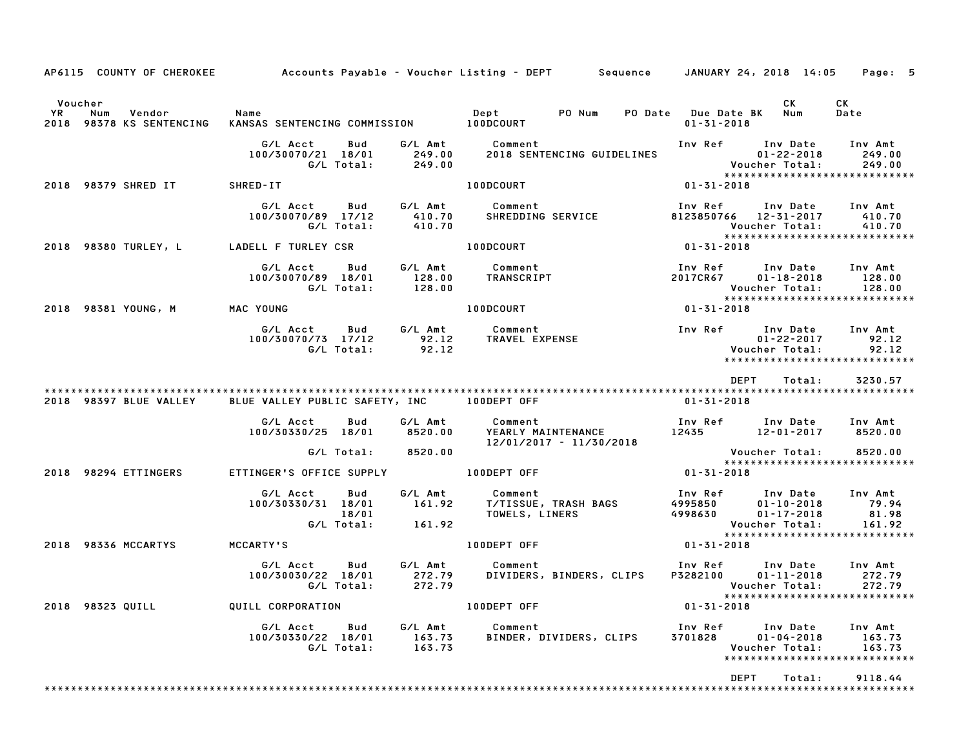|                                                            |                                                              |                             | AP6115 COUNTY OF CHEROKEE Accounts Payable - Voucher Listing - DEPT Sequence JANUARY 24, 2018 14:05 |                                                 | Page: 5                                                                                                        |
|------------------------------------------------------------|--------------------------------------------------------------|-----------------------------|-----------------------------------------------------------------------------------------------------|-------------------------------------------------|----------------------------------------------------------------------------------------------------------------|
| Voucher<br>YR<br>Num<br>Vendor<br>2018 98378 KS SENTENCING | Name<br>KANSAS SENTENCING COMMISSION 100DCOURT               |                             | Dept PO Num                                                                                         | PO Date Due Date BK Num<br>$01 - 31 - 2018$     | CK<br>CK<br>Date                                                                                               |
|                                                            | G/L Acct<br>Bud<br>100/30070/21 18/01<br>G/L Total:          | G/L Amt<br>249.00<br>249.00 | Comment<br>2018 SENTENCING GUIDELINES                                                               | Inv Ref Inv Date<br>Voucher Total:              | Inv Amt<br>$01 - 22 - 2018$<br>249.00<br>249.00<br>*****************************                               |
| 2018 98379 SHRED IT                                        | SHRED-IT                                                     |                             | 100DCOURT                                                                                           | 01-31-2018                                      |                                                                                                                |
|                                                            | G/L Acct<br>Bud<br>100/30070/89 17/12<br>G/L Total:          | 410.70<br>410.70            | G/L Amt Comment<br>SHREDDING SERVICE                                                                | Inv Ref<br>8123850766<br>Voucher Total:         | Inv Date<br>Inv Amt<br>12-31-2017<br>410.70<br>410.70<br>*****************************                         |
| 2018 98380 TURLEY, L                                       | LADELL F TURLEY CSR                                          |                             | 100DCOURT                                                                                           | 01-31-2018                                      |                                                                                                                |
|                                                            | G/L Acct<br>Bud<br>100/30070/89 18/01<br>G/L Total:          | G/L Amt<br>128.00<br>128.00 | Comment<br>TRANSCRIPT                                                                               | Inv Ref<br>2017CR67<br>Voucher Total:           | Inv Date Inv Amt<br>$01 - 18 - 2018$<br>128.00<br>128.00<br>*****************************                      |
| 2018 98381 YOUNG, M                                        | MAC YOUNG                                                    |                             | 100DCOURT                                                                                           | $01 - 31 - 2018$                                |                                                                                                                |
|                                                            | G/L Acct<br>Bud<br>100/30070/73 17/12<br>G/L Total:          | 92.12<br>92.12              | G/L Amt Comment<br>TRAVEL EXPENSE                                                                   | Inv Ref      Inv Date<br>Voucher Total:         | Inv Amt<br>$01 - 22 - 2017$<br>92.12<br>92.12<br>******************************                                |
| 2018 98397 BLUE VALLEY                                     | BLUE VALLEY PUBLIC SAFETY, INC 100DEPT OFF                   |                             |                                                                                                     | DEPT<br>01-31-2018                              | Total:<br>3230.57                                                                                              |
|                                                            | G/L Acct<br>Bud<br>100/30330/25 18/01                        | G/L Amt<br>8520.00          | Comment<br>YEARLY MAINTENANCE<br>$12/01/2017 - 11/30/2018$                                          | Inv Ref      Inv Date<br>12435 12-01-2017       | Inv Amt<br>8520.00                                                                                             |
|                                                            | G/L Total:                                                   | 8520.00                     |                                                                                                     | Voucher Total:                                  | 8520.00<br>******************************                                                                      |
| 2018 98294 ETTINGERS                                       | ETTINGER'S OFFICE SUPPLY <b>100DEPT OFF</b>                  |                             |                                                                                                     | 01-31-2018                                      |                                                                                                                |
|                                                            | G/L Acct<br>Bud<br>100/30330/31 18/01<br>18/01<br>G/L Total: | G/L Amt<br>161.92<br>161.92 | Comment<br>T/TISSUE, TRASH BAGS<br>TOWELS, LINERS                                                   | Inv Ref<br>4995850<br>4998630<br>Voucher Total: | Inv Amt<br>Inv Date<br>$01 - 10 - 2018$<br>79.94<br>$01 - 17 - 2018$<br>81.98<br>161.92                        |
| 2018 98336 MCCARTYS                                        | <b>MCCARTY'S</b>                                             |                             | 100DEPT OFF                                                                                         | $01 - 31 - 2018$                                | *****************************                                                                                  |
|                                                            | G/L Acct<br>Bud<br>100/30030/22 18/01<br>G/L Total:          | 272.79<br>272.79            | G/L Amt Comment<br>DIVIDERS, BINDERS, CLIPS                                                         | Inv Ref      Inv Date<br>P3282100               | Inv Amt<br>$01 - 11 - 2018$<br>272.79<br>Voucher Total:<br>272.79<br>*****************************             |
| 2018 98323 QUILL                                           | QUILL CORPORATION                                            |                             | 100DEPT OFF                                                                                         | $01 - 31 - 2018$                                |                                                                                                                |
|                                                            | G/L Acct<br>Bud<br>100/30330/22 18/01<br>G/L Total:          | G/L Amt<br>163.73<br>163.73 | Comment<br>BINDER, DIVIDERS, CLIPS                                                                  | Inv Ref<br>3701828                              | Inv Date<br>Inv Amt<br>$01 - 04 - 2018$<br>163.73<br>163.73<br>Voucher Total:<br>***************************** |
|                                                            |                                                              |                             |                                                                                                     | <b>DEPT</b>                                     | Total:<br>9118.44                                                                                              |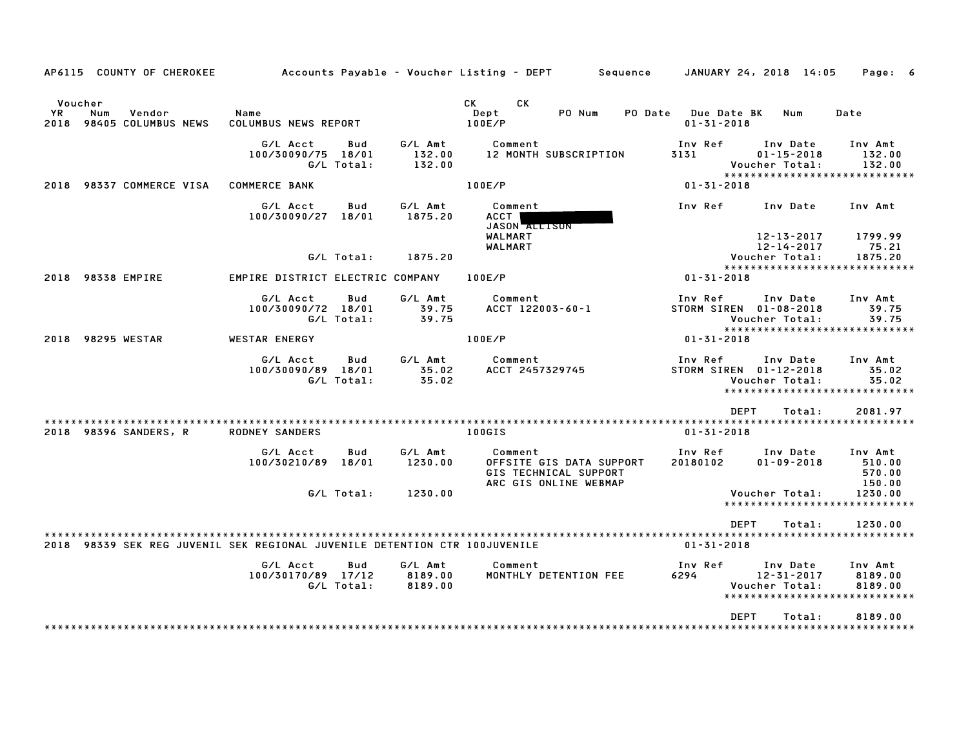| AP6115 COUNTY OF CHEROKEE                                                  |                                  |                   |                             | Accounts Payable – Voucher Listing – DEPT         Sequence                            |                                        | JANUARY 24, 2018 14:05                              | Page: 6                                                      |
|----------------------------------------------------------------------------|----------------------------------|-------------------|-----------------------------|---------------------------------------------------------------------------------------|----------------------------------------|-----------------------------------------------------|--------------------------------------------------------------|
| Voucher<br>YR<br>Num<br>Vendor<br>98405 COLUMBUS NEWS<br>2018              | Name<br>COLUMBUS NEWS REPORT     |                   |                             | CK<br><b>CK</b><br>Dept<br>PO Num<br>PO Date<br>100E/P                                | <b>Due Date BK</b><br>$01 - 31 - 2018$ | Num                                                 | Date                                                         |
|                                                                            | G/L Acct<br>100/30090/75 18/01   | Bud<br>G/L Total: | G/L Amt<br>132.00<br>132.00 | Comment<br><b>12 MONTH SUBSCRIPTION</b>                                               | Inv Ref<br>3131                        | Inv Date<br>$01 - 15 - 2018$<br>Voucher Total:      | Inv Amt<br>132.00<br>132.00<br>***************************** |
| 98337 COMMERCE VISA<br>2018                                                | <b>COMMERCE BANK</b>             |                   |                             | 100E/P                                                                                | $01 - 31 - 2018$                       |                                                     |                                                              |
|                                                                            | G/L Acct<br>100/30090/27 18/01   | Bud               | G/L Amt<br>1875.20          | Comment<br><b>ACCT</b><br>JASON ALLISON                                               | Inv Ref                                | Inv Date                                            | Inv Amt                                                      |
|                                                                            |                                  | G/L Total:        | 1875.20                     | WALMART<br>WALMART                                                                    |                                        | 12-13-2017<br>12-14-2017<br>Voucher Total:          | 1799.99<br>75.21<br>1875.20                                  |
| 98338 EMPIRE<br>2018                                                       | EMPIRE DISTRICT ELECTRIC COMPANY |                   |                             | 100E/P                                                                                | $01 - 31 - 2018$                       |                                                     | *****************************                                |
|                                                                            | G/L Acct<br>100/30090/72 18/01   | Bud<br>G/L Total: | G/L Amt<br>39.75<br>39.75   | Comment<br>ACCT 122003-60-1                                                           | Inv Ref<br>STORM SIREN 01-08-2018      | Inv Date<br>Voucher Total:                          | Inv Amt<br>39.75<br>39.75                                    |
| 98295 WESTAR<br>2018                                                       | <b>WESTAR ENERGY</b>             |                   |                             | 100E/P                                                                                | $01 - 31 - 2018$                       |                                                     | *****************************                                |
|                                                                            | G/L Acct<br>100/30090/89 18/01   | Bud<br>G/L Total: | G/L Amt<br>35.02<br>35.02   | Comment<br>ACCT 2457329745                                                            | Inv Ref<br>STORM SIREN 01-12-2018      | Inv Date<br>Voucher Total:                          | Inv Amt<br>35.02<br>35.02<br>*****************************   |
|                                                                            |                                  |                   |                             |                                                                                       | <b>DEPT</b>                            | Total:                                              | 2081.97                                                      |
| ********************<br>2018 98396 SANDERS, R                              | <b>RODNEY SANDERS</b>            |                   |                             | 100GIS                                                                                | $01 - 31 - 2018$                       |                                                     |                                                              |
|                                                                            | G/L Acct<br>100/30210/89         | Bud<br>18/01      | G/L Amt<br>1230.00          | Comment<br>OFFSITE GIS DATA SUPPORT<br>GIS TECHNICAL SUPPORT<br>ARC GIS ONLINE WEBMAP | Inv Ref<br>20180102                    | Inv Date<br>$01 - 09 - 2018$                        | Inv Amt<br>510.00<br>570.00<br>150.00                        |
|                                                                            |                                  | G/L Total:        | 1230.00                     |                                                                                       |                                        | Voucher Total:                                      | 1230.00<br>******************************                    |
| 2018 98339 SEK REG JUVENIL SEK REGIONAL JUVENILE DETENTION CTR 100JUVENILE |                                  |                   |                             |                                                                                       | <b>DEPT</b><br>$01 - 31 - 2018$        | Total:                                              | 1230.00                                                      |
|                                                                            | G/L Acct                         | <b>Bud</b>        | G/L Amt                     | Comment                                                                               | Inv Ref                                | Inv Date                                            | Inv Amt                                                      |
|                                                                            | 100/30170/89 17/12               | G/L Total:        | 8189.00<br>8189.00          | MONTHLY DETENTION FEE                                                                 | 6294                                   | 12-31-2017<br>Voucher Total:<br>******************* | 8189.00<br>8189.00                                           |
|                                                                            |                                  |                   |                             |                                                                                       | <b>DEPT</b>                            | Total:                                              | 8189.00                                                      |
|                                                                            |                                  |                   |                             |                                                                                       |                                        |                                                     |                                                              |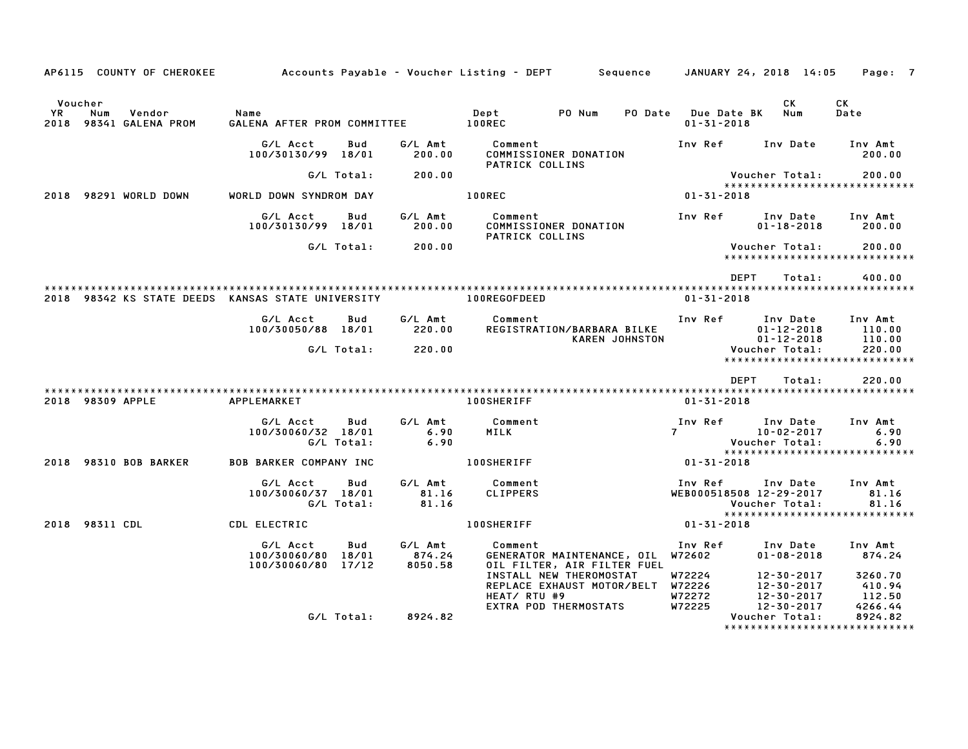|    |                  | AP6115 COUNTY OF CHEROKEE        | Accounts Payable – Voucher Listing – DEPT         Sequence |                   |                              |                            |                                                                                                                           |                                        | JANUARY 24, 2018 14:05                                                                              | Page: 7                                |
|----|------------------|----------------------------------|------------------------------------------------------------|-------------------|------------------------------|----------------------------|---------------------------------------------------------------------------------------------------------------------------|----------------------------------------|-----------------------------------------------------------------------------------------------------|----------------------------------------|
| YR | Voucher<br>Num   | Vendor<br>2018 98341 GALENA PROM | Name<br>GALENA AFTER PROM COMMITTEE                        |                   |                              | Dept<br><b>100REC</b>      | PO Num<br><b>PO Date</b>                                                                                                  | <b>Due Date BK</b><br>$01 - 31 - 2018$ | CK<br>Num                                                                                           | CK<br>Date                             |
|    |                  |                                  | G/L Acct<br>100/30130/99 18/01                             | Bud               | G/L Amt<br>200.00            | Comment                    | COMMISSIONER DONATION                                                                                                     | Inv Ref                                | Inv Date                                                                                            | Inv Amt<br>200.00                      |
|    |                  |                                  |                                                            | G/L Total:        | 200.00                       | PATRICK COLLINS            |                                                                                                                           |                                        | Voucher Total:                                                                                      | 200.00                                 |
|    |                  | 2018 98291 WORLD DOWN            | WORLD DOWN SYNDROM DAY                                     |                   |                              | <b>100REC</b>              |                                                                                                                           | 01-31-2018                             | *****************************                                                                       |                                        |
|    |                  |                                  | G/L Acct<br>100/30130/99 18/01                             | Bud               | G/L Amt<br>200.00            | Comment<br>PATRICK COLLINS | COMMISSIONER DONATION                                                                                                     | Inv Ref                                | Inv Date<br>$01 - 18 - 2018$                                                                        | Inv Amt<br>200.00                      |
|    |                  |                                  |                                                            | G/L Total:        | 200.00                       |                            |                                                                                                                           |                                        | <b>Voucher Total:</b><br>*****************************                                              | 200.00                                 |
|    |                  |                                  | 2018 98342 KS STATE DEEDS KANSAS STATE UNIVERSITY          |                   |                              | 100REGOFDEED               |                                                                                                                           | $01 - 31 - 2018$                       | <b>DEPT</b><br>Total:                                                                               | 400.00                                 |
|    |                  |                                  | G/L Acct<br>100/30050/88 18/01                             | Bud<br>G/L Total: | G/L Amt<br>220.00<br>220.00  | Comment                    | REGISTRATION/BARBARA BILKE<br><b>KAREN JOHNSTON</b>                                                                       | Inv Ref                                | Inv Date<br>$01 - 12 - 2018$<br>$01 - 12 - 2018$<br>Voucher Total:<br>***************************** | Inv Amt<br>110.00<br>110.00<br>220.00  |
|    |                  |                                  |                                                            |                   |                              |                            |                                                                                                                           |                                        | DEPT<br>Total:                                                                                      | 220.00                                 |
|    | 2018 98309 APPLE |                                  | APPLEMARKET                                                |                   |                              | <b>100SHERIFF</b>          |                                                                                                                           | $01 - 31 - 2018$                       |                                                                                                     |                                        |
|    |                  |                                  | G/L Acct<br>100/30060/32 18/01                             | Bud<br>G/L Total: | G/L Amt<br>6.90<br>6.90      | Comment<br>MILK            |                                                                                                                           | Inv Ref<br>$7^{\circ}$                 | Inv Date<br>10-02-2017<br>Voucher Total:                                                            | Inv Amt<br>6.90<br>6.90                |
|    |                  | 2018 98310 BOB BARKER            | <b>BOB BARKER COMPANY INC</b>                              |                   |                              | <b>100SHERIFF</b>          |                                                                                                                           | $01 - 31 - 2018$                       | *****************************                                                                       |                                        |
|    |                  |                                  | G/L Acct<br>100/30060/37 18/01                             | Bud<br>G/L Total: | G/L Amt<br>81.16<br>81.16    | Comment<br><b>CLIPPERS</b> |                                                                                                                           | Inv Ref                                | Inv Date<br>WEB000518508 12-29-2017<br>Voucher Total:<br>*****************************              | Inv Amt<br>81.16<br>81.16              |
|    | 2018 98311 CDL   |                                  | CDL ELECTRIC                                               |                   |                              | <b>100SHERIFF</b>          |                                                                                                                           | $01 - 31 - 2018$                       |                                                                                                     |                                        |
|    |                  |                                  | G/L Acct<br>100/30060/80 18/01<br>100/30060/80 17/12       | Bud               | G/L Amt<br>874.24<br>8050.58 | Comment                    | GENERATOR MAINTENANCE, OIL W72602<br>OIL FILTER, AIR FILTER FUEL<br>INSTALL NEW THEROMOSTAT<br>REPLACE EXHAUST MOTOR/BELT | Inv Ref<br>W72224<br>W72226            | Inv Date<br>$01 - 08 - 2018$<br>12-30-2017<br>12-30-2017                                            | Inv Amt<br>874.24<br>3260.70<br>410.94 |
|    |                  |                                  |                                                            | G/L Total:        | 8924.82                      | HEAT/ RTU #9               | EXTRA POD THERMOSTATS                                                                                                     | W72272<br>W72225                       | $12 - 30 - 2017$<br>12-30-2017<br>Voucher Total:<br>*******************************                 | 112.50<br>4266.44<br>8924.82           |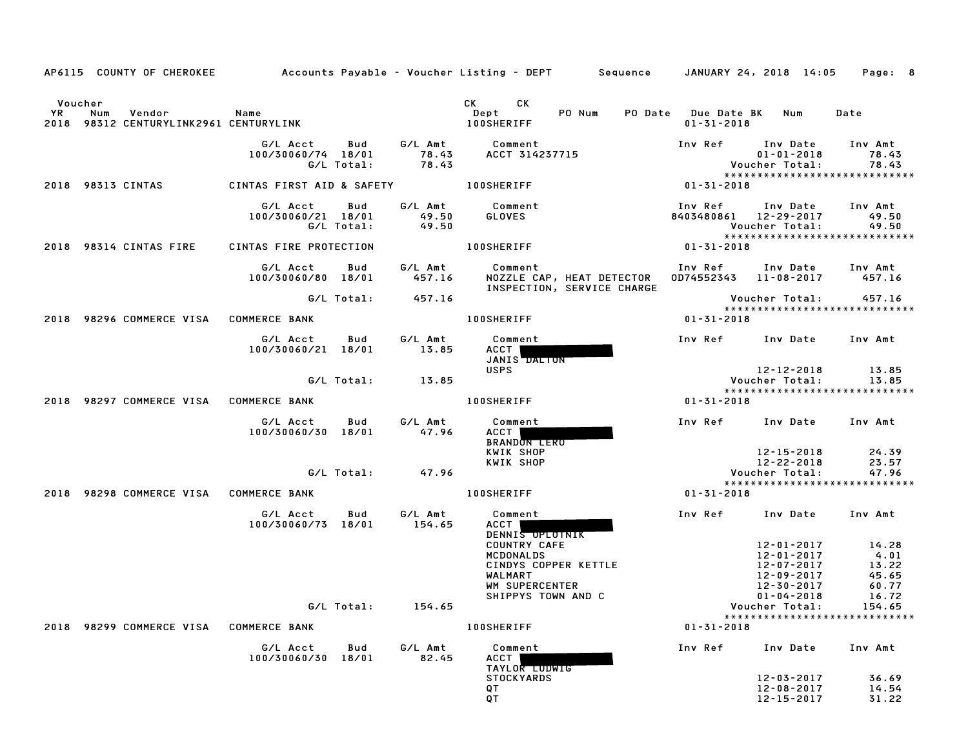|    | AP6115 COUNTY OF CHEROKEE                                          |                                |                   |                           | Accounts Payable - Voucher Listing - DEPT Sequence JANUARY 24, 2018 14:05                                                                                                                                                                                                   |                                         |                                                                                        | Page: 8                                                    |
|----|--------------------------------------------------------------------|--------------------------------|-------------------|---------------------------|-----------------------------------------------------------------------------------------------------------------------------------------------------------------------------------------------------------------------------------------------------------------------------|-----------------------------------------|----------------------------------------------------------------------------------------|------------------------------------------------------------|
| YR | Voucher<br>Num<br>Vendor<br>2018 98312 CENTURYLINK2961 CENTURYLINK | Name                           |                   |                           | СK<br>CK the control of the control of the control of the control of the control of the control of the control of the control of the control of the control of the control of the control of the control of the control of the contr<br>Dept<br>PO Num<br><b>100SHERIFF</b> | PO Date Due Date BK<br>$01 - 31 - 2018$ | Num                                                                                    | Date                                                       |
|    |                                                                    | G/L Acct<br>100/30060/74 18/01 | Bud<br>G/L Total: | G/L Amt<br>78.43<br>78.43 | Comment<br>ACCT 314237715                                                                                                                                                                                                                                                   | Inv Ref                                 | Inv Date<br>$01 - 01 - 2018$<br>Voucher Total:                                         | Inv Amt<br>78.43<br>78.43                                  |
|    | 2018 98313 CINTAS                                                  | CINTAS FIRST AID & SAFETY      |                   |                           | <b>100SHERIFF</b>                                                                                                                                                                                                                                                           | 01-31-2018                              |                                                                                        | *****************************                              |
|    |                                                                    | G/L Acct<br>100/30060/21 18/01 | Bud<br>G/L Total: | G/L Amt<br>49.50<br>49.50 | Comment<br><b>GLOVES</b>                                                                                                                                                                                                                                                    | Inv Ref<br>8403480861                   | Inv Date<br>12-29-2017<br>Voucher Total:                                               | Inv Amt<br>49.50<br>49.50<br>***************************** |
|    | 2018 98314 CINTAS FIRE                                             | CINTAS FIRE PROTECTION         |                   |                           | <b>100SHERIFF</b>                                                                                                                                                                                                                                                           | 01-31-2018                              |                                                                                        |                                                            |
|    |                                                                    | G/L Acct<br>100/30060/80 18/01 | Bud               | G/L Amt<br>457.16         | Comment<br>NOZZLE CAP, HEAT DETECTOR<br>INSPECTION, SERVICE CHARGE                                                                                                                                                                                                          | Inv Ref<br>0D74552343 11-08-2017        | Inv Date                                                                               | Inv Amt<br>457.16                                          |
|    |                                                                    |                                | G/L Total:        | 457.16                    |                                                                                                                                                                                                                                                                             |                                         | Voucher Total:                                                                         | 457.16<br>*****************************                    |
|    | 2018 98296 COMMERCE VISA COMMERCE BANK                             |                                |                   |                           | <b>100SHERIFF</b>                                                                                                                                                                                                                                                           | $01 - 31 - 2018$                        |                                                                                        |                                                            |
|    |                                                                    | G/L Acct<br>100/30060/21 18/01 | Bud               | G/L Amt<br>13.85          | Comment<br>ACCT<br>JANIS DALION                                                                                                                                                                                                                                             | Inv Ref                                 | Inv Date                                                                               | Inv Amt                                                    |
|    |                                                                    |                                | G/L Total:        | 13.85                     | <b>USPS</b>                                                                                                                                                                                                                                                                 |                                         | 12-12-2018<br>Voucher Total:                                                           | 13.85<br>13.85                                             |
|    | 2018 98297 COMMERCE VISA                                           | <b>COMMERCE BANK</b>           |                   |                           | <b>100SHERIFF</b>                                                                                                                                                                                                                                                           | 01-31-2018                              |                                                                                        | *****************************                              |
|    |                                                                    | G/L Acct<br>100/30060/30 18/01 | Bud               | G/L Amt<br>47.96          | Comment<br>ACCT  <br><b>BRANDON LERO</b>                                                                                                                                                                                                                                    | Inv Ref                                 | Inv Date                                                                               | Inv Amt                                                    |
|    |                                                                    |                                | G/L Total:        | 47.96                     | KWIK SHOP<br>KWIK SHOP                                                                                                                                                                                                                                                      |                                         | 12-15-2018<br>12-22-2018<br>Voucher Total:                                             | 24.39<br>23.57<br>47.96                                    |
|    | 2018 98298 COMMERCE VISA                                           | <b>COMMERCE BANK</b>           |                   |                           | <b>100SHERIFF</b>                                                                                                                                                                                                                                                           | $01 - 31 - 2018$                        |                                                                                        | *****************************                              |
|    |                                                                    | G/L Acct<br>100/30060/73 18/01 | Bud               | G/L Amt<br>154.65         | Comment<br>ACCT                                                                                                                                                                                                                                                             | Inv Ref                                 | Inv Date                                                                               | Inv Amt                                                    |
|    |                                                                    |                                |                   |                           | DENNIS OPLOTNIK<br><b>COUNTRY CAFE</b><br>MCDONALDS<br>CINDYS COPPER KETTLE<br>WALMART<br>WM SUPERCENTER<br>SHIPPYS TOWN AND C                                                                                                                                              |                                         | 12-01-2017<br>12-01-2017<br>12-07-2017<br>12-09-2017<br>12-30-2017<br>$01 - 04 - 2018$ | 14.28<br>4.01<br>13.22<br>45.65<br>60.77<br>16.72          |
|    |                                                                    |                                | G/L Total:        | 154.65                    |                                                                                                                                                                                                                                                                             |                                         | Voucher Total:                                                                         | 154.65<br>*****************************                    |
|    | 2018 98299 COMMERCE VISA                                           | <b>COMMERCE BANK</b>           |                   |                           | <b>100SHERIFF</b>                                                                                                                                                                                                                                                           | $01 - 31 - 2018$                        |                                                                                        |                                                            |
|    |                                                                    | G/L Acct<br>100/30060/30 18/01 | Bud               | G/L Amt<br>82.45          | Comment<br><b>ACCT</b><br>TAYLOR LUDWIG                                                                                                                                                                                                                                     | Inv Ref                                 | Inv Date                                                                               | Inv Amt                                                    |
|    |                                                                    |                                |                   |                           | <b>STOCKYARDS</b><br>QT<br>QT                                                                                                                                                                                                                                               |                                         | 12-03-2017<br>12-08-2017<br>$12 - 15 - 2017$                                           | 36.69<br>14.54<br>31.22                                    |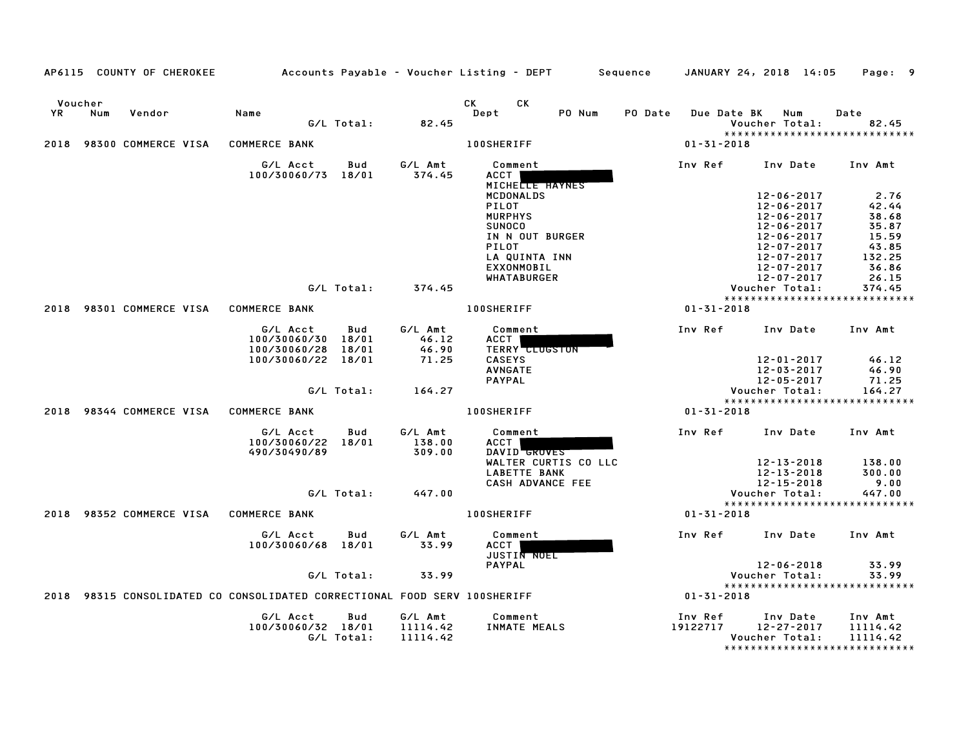|      |                | AP6115 COUNTY OF CHEROKEE |                                                                      |              |                             | Accounts Payable – Voucher Listing – DEPT | Sequence | JANUARY 24, 2018 14:05                                                | Page: 9        |
|------|----------------|---------------------------|----------------------------------------------------------------------|--------------|-----------------------------|-------------------------------------------|----------|-----------------------------------------------------------------------|----------------|
| YR.  | Voucher<br>Num | Vendor                    | Name                                                                 | G/L Total:   | 82.45                       | CK<br>СK<br>Dept<br>PO Num                | PO Date  | Due Date BK<br>Num<br>Voucher Total:<br>***************************** | Date<br>82.45  |
| 2018 |                | 98300 COMMERCE VISA       | <b>COMMERCE BANK</b>                                                 |              |                             | <b>100SHERIFF</b>                         |          | $01 - 31 - 2018$                                                      |                |
|      |                |                           | G/L Acct<br>100/30060/73                                             | Bud<br>18/01 | G/L Amt<br>374.45           | Comment<br>ACCT<br>MICHELLE HAYNES        | Inv Ref  | Inv Date                                                              | Inv Amt        |
|      |                |                           |                                                                      |              |                             | MCDONALDS                                 |          | $12 - 06 - 2017$                                                      | 2.76           |
|      |                |                           |                                                                      |              |                             | <b>PILOT</b>                              |          | $12 - 06 - 2017$                                                      | 42.44          |
|      |                |                           |                                                                      |              |                             | <b>MURPHYS</b><br>SUNOCO                  |          | $12 - 06 - 2017$<br>$12 - 06 - 2017$                                  | 38.68<br>35.87 |
|      |                |                           |                                                                      |              |                             | IN N OUT BURGER                           |          | 12-06-2017                                                            | 15.59          |
|      |                |                           |                                                                      |              |                             | PILOT                                     |          | $12 - 07 - 2017$                                                      | 43.85          |
|      |                |                           |                                                                      |              |                             | LA QUINTA INN                             |          | 12-07-2017                                                            | 132.25         |
|      |                |                           |                                                                      |              |                             | <b>EXXONMOBIL</b>                         |          | $12 - 07 - 2017$                                                      | 36.86          |
|      |                |                           |                                                                      |              |                             | WHATABURGER                               |          | 12-07-2017                                                            | 26.15          |
|      |                |                           |                                                                      | G/L Total:   | 374.45                      |                                           |          | Voucher Total:<br>*****************************                       | 374.45         |
| 2018 |                | 98301 COMMERCE VISA       | <b>COMMERCE BANK</b>                                                 |              |                             | <b>100SHERIFF</b>                         |          | $01 - 31 - 2018$                                                      |                |
|      |                |                           | G/L Acct                                                             | Bud          | G/L Amt                     | Comment                                   | Inv Ref  | Inv Date                                                              | Inv Amt        |
|      |                |                           | 100/30060/30                                                         | 18/01        | 46.12                       | ACCT                                      |          |                                                                       |                |
|      |                |                           | 100/30060/28                                                         | 18/01        | 46.90                       | <b>TERRY CLUGSTON</b>                     |          |                                                                       |                |
|      |                |                           | 100/30060/22 18/01                                                   |              | 71.25                       | <b>CASEYS</b>                             |          | 12-01-2017                                                            | 46.12          |
|      |                |                           |                                                                      |              |                             | <b>AVNGATE</b><br><b>PAYPAL</b>           |          | 12-03-2017                                                            | 46.90<br>71.25 |
|      |                |                           |                                                                      | G/L Total:   | 164.27                      |                                           |          | 12-05-2017<br>Voucher Total:                                          | 164.27         |
|      |                |                           |                                                                      |              |                             |                                           |          | *****************************                                         |                |
| 2018 |                | 98344 COMMERCE VISA       | <b>COMMERCE BANK</b>                                                 |              |                             | <b>100SHERIFF</b>                         |          | $01 - 31 - 2018$                                                      |                |
|      |                |                           | G/L Acct<br>100/30060/22 18/01<br>490/30490/89                       | Bud          | G/L Amt<br>138.00<br>309.00 | Comment<br><b>ACCT</b><br>DAVID GROVES    | Inv Ref  | Inv Date                                                              | Inv Amt        |
|      |                |                           |                                                                      |              |                             | WALTER CURTIS CO LLC                      |          | 12-13-2018                                                            | 138.00         |
|      |                |                           |                                                                      |              |                             | <b>LABETTE BANK</b><br>CASH ADVANCE FEE   |          | $12 - 13 - 2018$<br>$12 - 15 - 2018$                                  | 300.00<br>9.00 |
|      |                |                           |                                                                      | G/L Total:   | 447.00                      |                                           |          | Voucher Total:                                                        | 447.00         |
|      |                |                           |                                                                      |              |                             |                                           |          | *****************************                                         |                |
| 2018 |                | 98352 COMMERCE VISA       | <b>COMMERCE BANK</b>                                                 |              |                             | <b>100SHERIFF</b>                         |          | $01 - 31 - 2018$                                                      |                |
|      |                |                           | G/L Acct<br>100/30060/68 18/01                                       | Bud          | G/L Amt<br>33.99            | Comment<br>ACCT<br>JUSTIN NOEL            | Inv Ref  | Inv Date                                                              | Inv Amt        |
|      |                |                           |                                                                      |              |                             | <b>PAYPAL</b>                             |          | $12 - 06 - 2018$                                                      | 33.99          |
|      |                |                           |                                                                      | G/L Total:   | 33.99                       |                                           |          | Voucher Total:<br>*****************************                       | 33.99          |
| 2018 |                |                           | 98315 CONSOLIDATED CO CONSOLIDATED CORRECTIONAL FOOD SERV 100SHERIFF |              |                             |                                           |          | $01 - 31 - 2018$                                                      |                |
|      |                |                           | G/L Acct                                                             | Bud          | G/L Amt                     | Comment                                   | Inv Ref  | Inv Date                                                              | Inv Amt        |
|      |                |                           | 100/30060/32 18/01                                                   |              | 11114.42                    | INMATE MEALS                              | 19122717 | 12-27-2017                                                            | 11114.42       |
|      |                |                           |                                                                      | G/L Total:   | 11114.42                    |                                           |          | Voucher Total:                                                        | 11114.42       |
|      |                |                           |                                                                      |              |                             |                                           |          | *****************************                                         |                |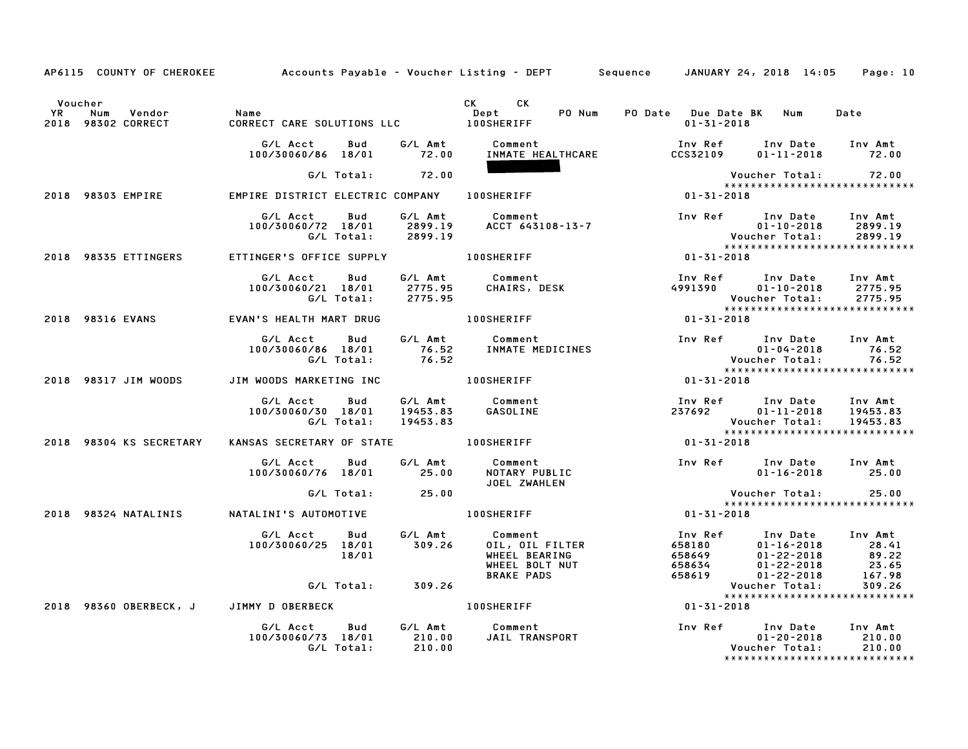|           |                                                | AP6115 COUNTY OF CHEROKEE Accounts Payable - Voucher Listing - DEPT Sequence JANUARY 24, 2018 14:05 Page: 10 |                   |                                                                                                      |                                                    |                                                                                                                                         |                                             |
|-----------|------------------------------------------------|--------------------------------------------------------------------------------------------------------------|-------------------|------------------------------------------------------------------------------------------------------|----------------------------------------------------|-----------------------------------------------------------------------------------------------------------------------------------------|---------------------------------------------|
| <b>YR</b> | Voucher<br>Num<br>Vendor<br>2018 98302 CORRECT | Name                                                                                                         |                   | CK CK<br>Dept                                                                                        | PO Num PO Date Due Date BK Num<br>$01 - 31 - 2018$ |                                                                                                                                         | Date                                        |
|           |                                                | G/L Acct<br>100/30060/86 18/01 72.00                                                                         |                   | Bud G/L Amt Comment<br>INMATE HEALTHCARE                                                             | CCS32109                                           | Inv Ref Inv Date Inv Amt<br>$01 - 11 - 2018$ 72.00                                                                                      |                                             |
|           |                                                | G/L Total: 72.00                                                                                             |                   |                                                                                                      |                                                    | Voucher Total:           72.00                                                                                                          |                                             |
|           | 2018 98303 EMPIRE                              | EMPIRE DISTRICT ELECTRIC COMPANY 100SHERIFF                                                                  |                   |                                                                                                      | $01 - 31 - 2018$                                   | *****************************                                                                                                           |                                             |
|           |                                                | G/L Acct Bud                                                                                                 | G/L Amt           | Comment<br>100/30060/72 18/01 2899.19 ACCT 643108-13-7<br>G/L Total: 2899.19                         |                                                    | Inv Ref Inv Date Inv Amt<br>$01 - 10 - 2018$                                                                                            | 2899.19<br>2899.19                          |
|           | 2018 98335 ETTINGERS                           | ETTINGER'S OFFICE SUPPLY 100SHERIFF                                                                          |                   |                                                                                                      | $01 - 31 - 2018$                                   |                                                                                                                                         |                                             |
|           |                                                | G/L Acct Bud<br>100/30060/21 18/01<br>G/L Total: 2775.95                                                     | 2775.95           | G/L Amt Comment<br>CHAIRS, DESK                                                                      |                                                    | Inv Ref Inv Date Inv Amt<br>4991390  01-10-2018  2775.95<br>Voucher Total: 2775.95<br>*****************************                     |                                             |
|           | 2018 98316 EVANS                               | EVAN'S HEALTH MART DRUG                                                                                      |                   | 100SHERIFF                                                                                           | $01 - 31 - 2018$                                   |                                                                                                                                         |                                             |
|           |                                                |                                                                                                              |                   | G/L Acct  Bud  G/L Amt  Comment<br>100/30060/86  18/01  76.52  INMATE MEDICINES<br>G/L Total:  76.52 |                                                    | Inv Ref Inv Date Inv Amt<br>01-04-2018<br>01-04-2018<br>  Voucher Total<br>****************                                             | 76.52<br>76.52                              |
|           | 2018 98317 JIM WOODS                           | JIM WOODS MARKETING INC                                                                                      |                   | <b>100SHERIFF</b>                                                                                    | $01 - 31 - 2018$                                   | *****************************                                                                                                           |                                             |
|           |                                                | G/L Acct<br>Bud<br>100/30060/30 18/01<br>G/L Total:                                                          | 19453.83          | G/L Amt      Comment<br>19453.83     GASOLINE                                                        | 237692                                             | Inv Ref      Inv Date    Inv Amt<br>237692          01-11-2018     19453.83<br>Voucher Total: 19453.83<br>***************************** |                                             |
|           | 2018 98304 KS SECRETARY                        | KANSAS SECRETARY OF STATE 100SHERIFF                                                                         |                   |                                                                                                      | $01 - 31 - 2018$                                   |                                                                                                                                         |                                             |
|           |                                                | G/L Acct<br><b>Bud</b><br>100/30060/76 18/01 25.00                                                           |                   | G/L Amt Comment<br>NOTARY PUBLIC<br>JOEL ZWAHLEN                                                     |                                                    | Inv Ref Inv Date Inv Amt<br>$01 - 16 - 2018$ 25.00                                                                                      |                                             |
|           |                                                | G/L Total: 25.00                                                                                             |                   |                                                                                                      |                                                    | Voucher Total:                                                                                                                          | 25.00                                       |
|           | 2018 98324 NATALINIS                           | NATALINI'S AUTOMOTIVE THE RESERVED ON A LOOSHERIFF                                                           |                   |                                                                                                      | $01 - 31 - 2018$                                   | *****************************                                                                                                           |                                             |
|           |                                                | G/L Acct<br>Bud<br>100/30060/25 18/01<br>18/01<br>G/L Total: 309.26                                          | G/L Amt<br>309.26 | <b>Comment<br/>OIL, OIL FILTER<br/>WHEEL BEARING<br/>WHEEL BOLT NUT<br/>BRAKE PADS</b>               |                                                    | Inv Ref Inv Date Inv Amt<br>-116 -2018<br>6586649<br>6586634<br>658634<br>658619<br>01-22-2018<br>Voucher Total:                        | 28.41<br>89.22<br>23.65<br>167.98<br>309.26 |
|           |                                                | 2018 98360 OBERBECK, J JIMMY D OBERBECK                                                                      |                   | <b>100SHERIFF</b>                                                                                    | $01 - 31 - 2018$                                   | *****************************                                                                                                           |                                             |
|           |                                                | G/L Acct<br><b>Bud</b><br>100/30060/73 18/01 210.00<br>G/L Total:                                            | 210.00            | G/L Amt Comment<br>JAIL TRANSPORT                                                                    |                                                    | Inv Ref Inv Date Inv Amt<br>$01 - 20 - 2018$<br>Voucher Total:<br>*****************************                                         | 210.00<br>210.00                            |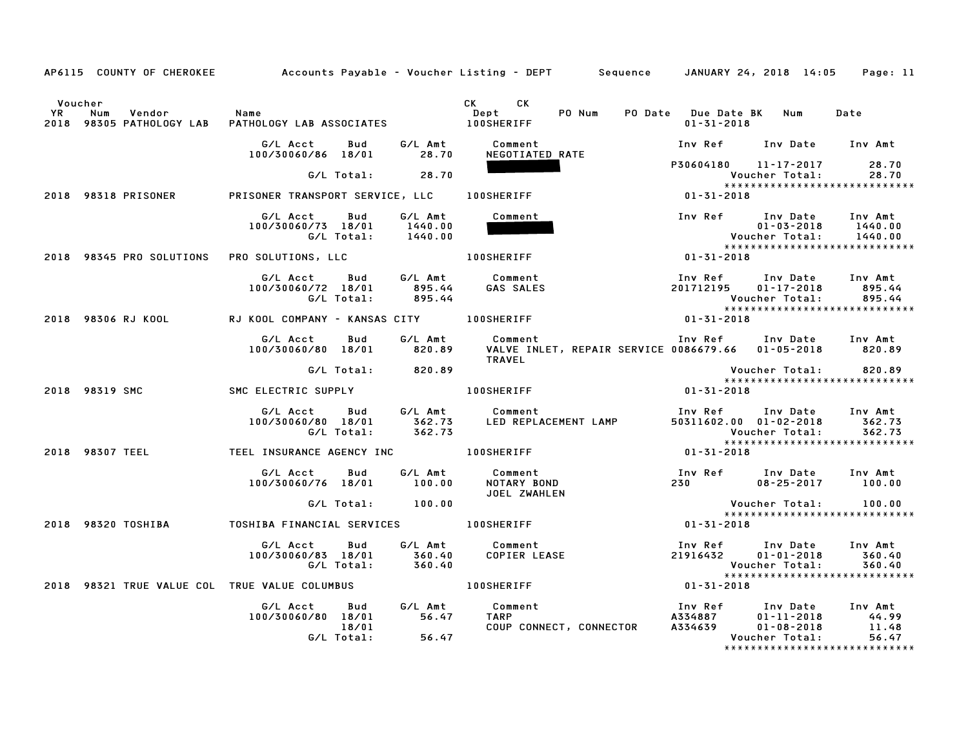|                      |                   |                                                                                                   | AP6115 COUNTY OF CHEROKEE Accounts Payable - Voucher Listing - DEPT Sequence JANUARY 24, 2018 14:05 Page: 11                                                                                                  |                                                                                                                                                                          |                       |                                |
|----------------------|-------------------|---------------------------------------------------------------------------------------------------|---------------------------------------------------------------------------------------------------------------------------------------------------------------------------------------------------------------|--------------------------------------------------------------------------------------------------------------------------------------------------------------------------|-----------------------|--------------------------------|
| Voucher<br><b>YR</b> | Num Vendor - Name | TH Num Vendor – Name<br>2018 98305 PATHOLOGY LAB PATHOLOGY LAB ASSOCIATES – 100SHERIFF            | CK CK<br>Dept PO Num PO Date Due Date BK Num Date                                                                                                                                                             | 01-31-2018                                                                                                                                                               |                       |                                |
|                      |                   | G/L Acct Bud G/L Amt Comment<br>100/30060/86 18/01 28.70                                          | NEGOTIATED RATE                                                                                                                                                                                               | Inv Ref Inv Date Inv Amt                                                                                                                                                 |                       |                                |
|                      |                   | G/L Total: 28.70                                                                                  |                                                                                                                                                                                                               | P30604180 11-17-2017 28.70<br>Voucher Total: 28.70<br>****************************                                                                                       |                       |                                |
|                      |                   | 2018 98318 PRISONER PRISONER TRANSPORT SERVICE, LLC 100SHERIFF                                    | $01 - 31 - 2018$                                                                                                                                                                                              |                                                                                                                                                                          |                       |                                |
|                      |                   | G/L Acct Bud G/L Amt Comment<br>100/30060/73 18/01 1440.00<br>G/L Total: 1440.00                  |                                                                                                                                                                                                               |                                                                                                                                                                          |                       |                                |
|                      |                   | 2018 98345 PRO SOLUTIONS PRO SOLUTIONS, LLC <b>100SHERIFF</b>                                     |                                                                                                                                                                                                               | $01 - 31 - 2018$                                                                                                                                                         |                       |                                |
|                      |                   |                                                                                                   |                                                                                                                                                                                                               | Inv Ref      Inv Date    Inv Amt<br>201712195     01-17-2018       895.44<br>Voucher Total:       895.44<br><b>Voucher Total: 895.44</b><br>**************************** |                       |                                |
|                      |                   |                                                                                                   | 2018 98306 RJ KOOL     RJ KOOL COMPANY - KANSAS CITY   100SHERIFF                       01-31-2018                                                                                                            |                                                                                                                                                                          |                       |                                |
|                      |                   |                                                                                                   | ل المراس المراس العام العربي العام العام العام العام العام العام العام 100/30060/80<br>100/30060/80 18/01 820.89 VALVE INLET, REPAIR SERVICE 0086679.66 01-05-2018 820.89<br>11 101011 1000100 C/L Intol      |                                                                                                                                                                          |                       |                                |
|                      |                   | G/L Total: 820.89                                                                                 |                                                                                                                                                                                                               |                                                                                                                                                                          | Voucher Total: 820.89 |                                |
|                      |                   |                                                                                                   |                                                                                                                                                                                                               |                                                                                                                                                                          |                       |                                |
|                      |                   |                                                                                                   | G/L Acct Bud G/L Amt Comment Inv Ref Inv Date Inv Amt<br>100/30060/80 18/01 362.73 LED REPLACEMENT LAMP 50311602.00 01-02-2018 362.73<br>6/L Total: 362.73 LED REPLACEMENT LAMP 50311602.00 01-02-2018 362.73 | Voucher Total: 362.73<br>****************************                                                                                                                    |                       |                                |
|                      |                   | 2018 98307 TEEL THEL INSURANCE AGENCY INC 100SHERIFF                                              | $01 - 31 - 2018$                                                                                                                                                                                              |                                                                                                                                                                          |                       |                                |
|                      |                   |                                                                                                   | JOEL ZWAHLEN                                                                                                                                                                                                  | Inv Ref      Inv Date     Inv Amt<br>230                 08-25-2017          100.00                                                                                      |                       |                                |
|                      |                   | G/L Total: 100.00                                                                                 |                                                                                                                                                                                                               | Voucher Total: 100.00                                                                                                                                                    |                       | ****************************** |
|                      |                   |                                                                                                   |                                                                                                                                                                                                               | $01 - 31 - 2018$                                                                                                                                                         |                       |                                |
|                      |                   |                                                                                                   |                                                                                                                                                                                                               |                                                                                                                                                                          |                       |                                |
|                      |                   |                                                                                                   | 2018 98321 TRUE VALUE COL TRUE VALUE COLUMBUS   100SHERIFF   100SHERIFF   100SHERIFF   2018                                                                                                                   |                                                                                                                                                                          |                       |                                |
|                      |                   | G/L Acct Bud G/L Amt Comment<br>100/30060/80 18/01 56.47 TARP<br>18/01 6/L Total: 56.47 COUP CONN |                                                                                                                                                                                                               |                                                                                                                                                                          |                       |                                |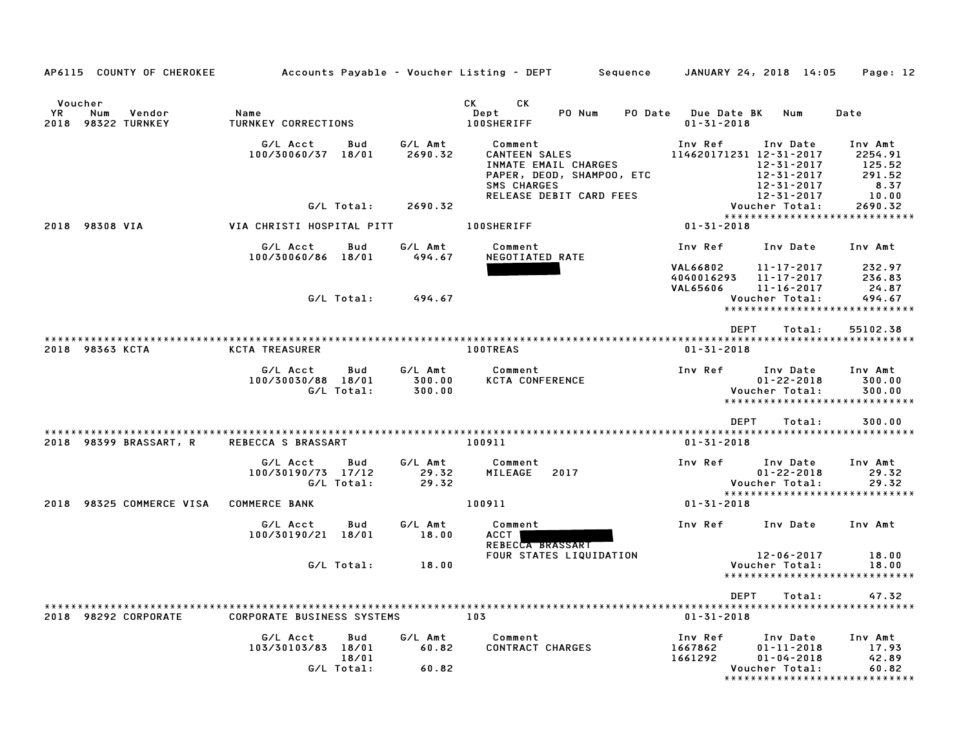| AP6115 COUNTY OF CHEROKEE                                |                                                              |                             | Accounts Payable – Voucher Listing – DEPT<br>Sequence                                                                          |                                                         | JANUARY 24, 2018 14:05                                                 | Page: 12                                                     |
|----------------------------------------------------------|--------------------------------------------------------------|-----------------------------|--------------------------------------------------------------------------------------------------------------------------------|---------------------------------------------------------|------------------------------------------------------------------------|--------------------------------------------------------------|
|                                                          |                                                              |                             |                                                                                                                                |                                                         |                                                                        |                                                              |
| Voucher<br>YR.<br>Vendor<br>Num<br>98322 TURNKEY<br>2018 | Name<br>TURNKEY CORRECTIONS                                  |                             | CK<br>CK.<br>PO Num<br>Dept<br>PO Date<br><b>100SHERIFF</b>                                                                    | <b>Due Date BK</b><br>$01 - 31 - 2018$                  | Num                                                                    | Date                                                         |
|                                                          | G/L Acct<br>Bud<br>100/30060/37 18/01                        | G/L Amt<br>2690.32          | Comment<br><b>CANTEEN SALES</b><br>INMATE EMAIL CHARGES<br>PAPER, DEOD, SHAMPOO, ETC<br>SMS CHARGES<br>RELEASE DEBIT CARD FEES | Inv Ref<br>114620171231 12-31-2017                      | Inv Date<br>12-31-2017<br>12-31-2017<br>12-31-2017<br>$12 - 31 - 2017$ | Inv Amt<br>2254.91<br>125.52<br>291.52<br>8.37<br>10.00      |
|                                                          | G/L Total:                                                   | 2690.32                     |                                                                                                                                |                                                         | Voucher Total:                                                         | 2690.32                                                      |
| 2018 98308 VIA                                           | VIA CHRISTI HOSPITAL PITT                                    |                             | <b>100SHERIFF</b>                                                                                                              | $01 - 31 - 2018$                                        |                                                                        | *****************************                                |
|                                                          |                                                              |                             |                                                                                                                                |                                                         |                                                                        |                                                              |
|                                                          | G/L Acct<br>Bud<br>100/30060/86 18/01                        | G/L Amt<br>494.67           | Comment<br>NEGOTIATED RATE                                                                                                     | Inv Ref                                                 | Inv Date                                                               | Inv Amt                                                      |
|                                                          |                                                              |                             |                                                                                                                                | <b>VAL66802</b><br>4040016293<br><b>VAL65606</b>        | 11-17-2017<br>11-17-2017<br>$11 - 16 - 2017$                           | 232.97<br>236.83<br>24.87                                    |
|                                                          | G/L Total:                                                   | 494.67                      |                                                                                                                                |                                                         | Voucher Total:                                                         | 494.67<br>*****************************                      |
|                                                          |                                                              |                             |                                                                                                                                | <b>DEPT</b>                                             | Total:                                                                 | 55102.38                                                     |
| 2018 98363 KCTA                                          | <b>KCTA TREASURER</b>                                        |                             | <b>100TREAS</b>                                                                                                                | $01 - 31 - 2018$                                        |                                                                        |                                                              |
|                                                          | G/L Acct<br>Bud<br>100/30030/88 18/01<br>G/L Total:          | G/L Amt<br>300.00<br>300.00 | Comment<br><b>KCTA CONFERENCE</b>                                                                                              | Inv Ref                                                 | Inv Date<br>$01 - 22 - 2018$<br>Voucher Total:                         | Inv Amt<br>300.00<br>300.00<br>***************************** |
|                                                          |                                                              |                             |                                                                                                                                |                                                         |                                                                        |                                                              |
| 2018 98399 BRASSART, R                                   | REBECCA S BRASSART                                           |                             | 100911                                                                                                                         | <b>DEPT</b><br>$01 - 31 - 2018$                         | Total:                                                                 | 300.00                                                       |
|                                                          | G/L Acct<br>Bud<br>100/30190/73 17/12<br>G/L Total:          | G/L Amt<br>29.32<br>29.32   | Comment<br>MILEAGE<br>2017                                                                                                     | Inv Ref                                                 | Inv Date<br>$01 - 22 - 2018$<br>Voucher Total:                         | Inv Amt<br>29.32<br>29.32                                    |
| 2018 98325 COMMERCE VISA                                 | <b>COMMERCE BANK</b>                                         |                             | 100911                                                                                                                         | $01 - 31 - 2018$                                        |                                                                        | *****************************                                |
|                                                          | G/L Acct<br>Bud<br>100/30190/21<br>18/01                     | G/L Amt<br>18.00            | Comment<br>ACCT<br>REBECCA BRASSART                                                                                            | Inv Ref                                                 | Inv Date                                                               | Inv Amt                                                      |
|                                                          |                                                              |                             | FOUR STATES LIQUIDATION                                                                                                        |                                                         | 12-06-2017                                                             | 18.00                                                        |
|                                                          | G/L Total:                                                   | 18.00                       |                                                                                                                                |                                                         | Voucher Total:                                                         | 18.00<br>*****************************                       |
|                                                          |                                                              |                             |                                                                                                                                |                                                         |                                                                        |                                                              |
| 2018 98292 CORPORATE                                     | *********************<br><b>CORPORATE BUSINESS SYSTEMS</b>   |                             | ****************<br>103                                                                                                        | <b>DEPT</b><br>********************<br>$01 - 31 - 2018$ | Total:                                                                 | 47.32<br>*********************                               |
|                                                          |                                                              |                             |                                                                                                                                |                                                         |                                                                        |                                                              |
|                                                          | G/L Acct<br>Bud<br>103/30103/83 18/01<br>18/01<br>G/L Total: | G/L Amt<br>60.82<br>60.82   | Comment<br><b>CONTRACT CHARGES</b>                                                                                             | Inv Ref<br>1667862<br>1661292                           | Inv Date<br>$01 - 11 - 2018$<br>$01 - 04 - 2018$<br>Voucher Total:     | Inv Amt<br>17.93<br>42.89<br>60.82                           |
|                                                          |                                                              |                             |                                                                                                                                |                                                         |                                                                        | *******************************                              |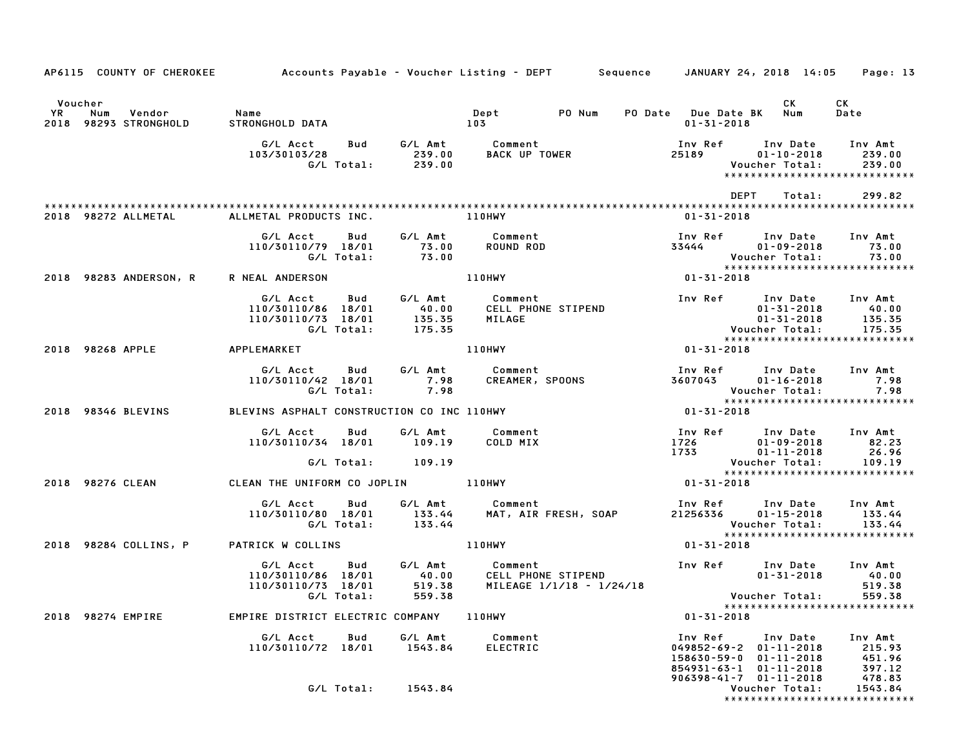|               |                              | AP6115 COUNTY OF CHEROKEE | Accounts Payable – Voucher Listing – DEPT         Sequence     JANUARY 24, 2018 14:05 |                   |                                      |                                 |                                                |                     |                         |             |                                                                                              |                                                    | Page: 13                   |
|---------------|------------------------------|---------------------------|---------------------------------------------------------------------------------------|-------------------|--------------------------------------|---------------------------------|------------------------------------------------|---------------------|-------------------------|-------------|----------------------------------------------------------------------------------------------|----------------------------------------------------|----------------------------|
| Voucher<br>YR | Num<br>2018 98293 STRONGHOLD | Vendor                    | Name<br>STRONGHOLD DATA                                                               |                   |                                      | Dept<br>103                     | PO Num                                         | PO Date Due Date BK | $01 - 31 - 2018$        |             | CK<br>Num                                                                                    | СK<br>Date                                         |                            |
|               |                              |                           | G/L Acct<br>103/30103/28                                                              | Bud<br>G/L Total: | G/L Amt<br>239.00<br>239.00          | Comment<br><b>BACK UP TOWER</b> |                                                |                     | Inv Ref<br>25189        |             | Inv Date<br>$01 - 10 - 2018$<br>Voucher Total:                                               | Inv Amt<br>239.00<br>***************************** | 239.00                     |
|               |                              |                           |                                                                                       |                   |                                      |                                 |                                                |                     |                         | <b>DEPT</b> | Total:                                                                                       |                                                    | 299.82                     |
|               | 2018 98272 ALLMETAL          |                           | ALLMETAL PRODUCTS INC.                                                                |                   |                                      | 110HWY                          |                                                |                     | $01 - 31 - 2018$        |             |                                                                                              |                                                    |                            |
|               |                              |                           | G/L Acct<br>110/30110/79 18/01                                                        | Bud<br>G/L Total: | G/L Amt<br>73.00<br>73.00            | Comment<br>ROUND ROD            |                                                |                     | Inv Ref<br>33444        |             | Inv Date<br>$01 - 09 - 2018$<br>Voucher Total:                                               | Inv Amt                                            | 73.00<br>73.00             |
|               |                              | 2018 98283 ANDERSON, R    | R NEAL ANDERSON                                                                       |                   |                                      | 110HWY                          |                                                |                     | 01-31-2018              |             |                                                                                              | *****************************                      |                            |
|               |                              |                           | G/L Acct<br>110/30110/86 18/01<br>110/30110/73 18/01                                  | Bud<br>G/L Total: | G/L Amt<br>40.00<br>135.35<br>175.35 | Comment<br>MILAGE               | CELL PHONE STIPEND                             |                     | Inv Ref                 |             | Inv Date<br>$01 - 31 - 2018$<br>$01 - 31 - 2018$<br>Voucher Total:                           | Inv Amt<br>40.00<br>135.35<br>175.35               |                            |
|               | 2018 98268 APPLE             |                           | APPLEMARKET                                                                           |                   |                                      | 110HWY                          |                                                |                     | $01 - 31 - 2018$        |             |                                                                                              | *****************************                      |                            |
|               |                              |                           | G/L Acct<br>110/30110/42 18/01                                                        | Bud<br>G/L Total: | G/L Amt<br>7.98<br>7.98              | Comment<br>CREAMER, SPOONS      |                                                |                     | Inv Ref<br>3607043      |             | Inv Date<br>$01 - 16 - 2018$<br>Voucher Total:                                               | Inv Amt                                            | 7.98<br>7.98               |
|               | 2018 98346 BLEVINS           |                           | BLEVINS ASPHALT CONSTRUCTION CO INC 110HWY                                            |                   |                                      |                                 |                                                |                     | $01 - 31 - 2018$        |             |                                                                                              | *****************************                      |                            |
|               |                              |                           | G/L Acct<br>110/30110/34 18/01                                                        | Bud<br>G/L Total: | G/L Amt<br>109.19<br>109.19          | Comment<br>COLD MIX             |                                                |                     | Inv Ref<br>1726<br>1733 |             | Inv Date<br>$01 - 09 - 2018$<br>$01 - 11 - 2018$<br>Voucher Total:                           | Inv Amt<br>82.23                                   | 26.96<br>109.19            |
|               | 2018 98276 CLEAN             |                           | CLEAN THE UNIFORM CO JOPLIN                                                           |                   |                                      | <b>110HWY</b>                   |                                                |                     | 01-31-2018              |             |                                                                                              | *****************************                      |                            |
|               |                              |                           | G/L Acct<br>110/30110/80 18/01                                                        | Bud<br>G/L Total: | G/L Amt<br>133.44<br>133.44          | Comment                         | MAT, AIR FRESH, SOAP                           |                     | Inv Ref<br>21256336     |             | Inv Date<br>$01 - 15 - 2018$<br>Voucher Total:                                               | Inv Amt<br>133.44<br>133.44                        |                            |
|               | 2018 98284 COLLINS, P        |                           | PATRICK W COLLINS                                                                     |                   |                                      | 110HWY                          |                                                |                     | $01 - 31 - 2018$        |             |                                                                                              | ******************************                     |                            |
|               |                              |                           | G/L Acct<br>110/30110/86 18/01<br>110/30110/73 18/01<br>G/L Total:                    | Bud               | G/L Amt<br>40.00<br>519.38<br>559.38 | Comment                         | CELL PHONE STIPEND<br>MILEAGE 1/1/18 - 1/24/18 |                     |                         |             | Inv Ref Inv Date<br>$01 - 31 - 2018$<br>Voucher Total:                                       | Inv Amt                                            | 40.00<br>519.38<br>559.38  |
|               | 2018 98274 EMPIRE            |                           | EMPIRE DISTRICT ELECTRIC COMPANY                                                      |                   |                                      | 110HWY                          |                                                |                     | $01 - 31 - 2018$        |             |                                                                                              | *****************************                      |                            |
|               |                              |                           | G/L Acct<br>110/30110/72 18/01                                                        | Bud               | G/L Amt<br>1543.84                   | Comment<br><b>ELECTRIC</b>      |                                                |                     | Inv Ref<br>158630-59-0  |             | Inv Date<br>$049852 - 69 - 2$ $01 - 11 - 2018$<br>$01 - 11 - 2018$<br>854931-63-1 01-11-2018 | Inv Amt                                            | 215.93<br>451.96<br>397.12 |
|               |                              |                           |                                                                                       | G/L Total:        | 1543.84                              |                                 |                                                |                     |                         |             | $906398 - 41 - 7$ $01 - 11 - 2018$<br>Voucher Total:                                         | 478.83<br>1543.84<br>***************************** |                            |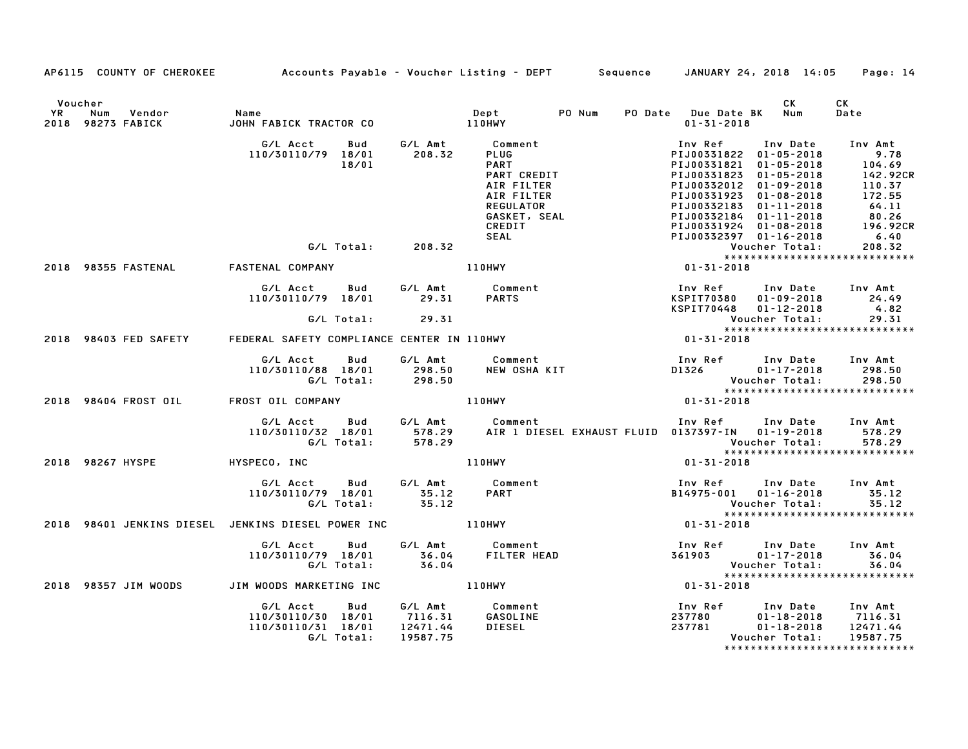|         |                                              | AP6115 COUNTY OF CHEROKEE Accounts Payable - Voucher Listing - DEPT Sequence JANUARY 24, 2018 14:05 Page: 14                                                                                                              |                                                                                                                                                                                                                                            |                                                     |                                                                                                                            |                         |                                |
|---------|----------------------------------------------|---------------------------------------------------------------------------------------------------------------------------------------------------------------------------------------------------------------------------|--------------------------------------------------------------------------------------------------------------------------------------------------------------------------------------------------------------------------------------------|-----------------------------------------------------|----------------------------------------------------------------------------------------------------------------------------|-------------------------|--------------------------------|
| Voucher | Name vendor Name<br>2018 98273 FABICK JOHN F | JOHN FABICK TRACTOR CO                                                                                                                                                                                                    | Dept PO Num<br>110HWY                                                                                                                                                                                                                      |                                                     | PO Date Due Date BK Num<br>$01 - 31 - 2018$                                                                                | <b>CK</b>               | CK<br>Date                     |
|         |                                              | G/L Acct  Bud  G/L Amt  Comment<br>110/30110/79 18/01  208.32  PLUG<br>18/01                                                                                                                                              | 41208.32<br>208.32 PLUG PART PIJ00331822 01-05-2018 PART<br>PART PIJ00331822 01-05-2018 104.69<br>PART PIJ00331821 01-05-2018 104.69<br>PART CREDIT PIJ00331823 01-05-2018 142.92CR<br>AIR FILTER PIJ00331923 01-09-2018 110.37<br>AIR FIL |                                                     |                                                                                                                            |                         |                                |
|         |                                              | G/L Total: 208.32                                                                                                                                                                                                         |                                                                                                                                                                                                                                            |                                                     |                                                                                                                            |                         |                                |
|         |                                              | 2018 98355 FASTENAL FASTENAL COMPANY                                                                                                                                                                                      |                                                                                                                                                                                                                                            |                                                     |                                                                                                                            |                         |                                |
|         |                                              | G/L Acct         Bud             G/L Amt             Comment<br>110/30110/79    18/01                29.31          PARTS                                                                                                 |                                                                                                                                                                                                                                            |                                                     |                                                                                                                            |                         |                                |
|         |                                              | G/L Total: 29.31                                                                                                                                                                                                          |                                                                                                                                                                                                                                            |                                                     |                                                                                                                            |                         |                                |
|         |                                              |                                                                                                                                                                                                                           |                                                                                                                                                                                                                                            |                                                     |                                                                                                                            |                         |                                |
|         |                                              | G/LAcct Bud G/LAmt Comment Inv Ref Inv Date Inv Amt<br>110/30110/88 18/01 298.50 NEW OSHA KIT D1326 01-17-2018 298.50<br>G/LTotal: 298.50 NEW OSHA KIT D1326 01-17-2018 298.50<br>0ST OILCOMPANY 110HWY 110HWY 01-31-2018 |                                                                                                                                                                                                                                            |                                                     |                                                                                                                            |                         |                                |
|         |                                              | 2018 98404 FROST OIL FROST OIL COMPANY THE ROST OIL STATE OF REAL                                                                                                                                                         |                                                                                                                                                                                                                                            |                                                     |                                                                                                                            |                         |                                |
|         |                                              | G/L Acct Bud G/L Amt Comment Inv Ref Inv Date Inv Amt<br>110/30110/32 18/01 578.29 AIR 1 DIESEL EXHAUST FLUID 0137397-IN 01-19-2018 578.29<br>6/E Total: 578.29 C/L Total: 578.29                                         |                                                                                                                                                                                                                                            |                                                     | Voucher Total: 578.29<br>****************************                                                                      |                         |                                |
|         |                                              | 2018 98267 HYSPE HYSPECO, INC                                                                                                                                                                                             | 110HWY                                                                                                                                                                                                                                     |                                                     | $01 - 31 - 2018$                                                                                                           |                         |                                |
|         |                                              | G/L Acct  Bud  G/L Amt  Comment<br>110/30110/79  18/01  35.12  PART<br>G/L Total:  35.12                                                                                                                                  |                                                                                                                                                                                                                                            |                                                     | Inv Ref Inv Date Inv Amt<br>B14975-001 01-16-2018 35.12<br>Voucher Total: 35.12<br>*******************************         |                         |                                |
|         |                                              |                                                                                                                                                                                                                           |                                                                                                                                                                                                                                            |                                                     |                                                                                                                            |                         |                                |
|         |                                              | G/L Acct  Bud  G/L Amt  Comment<br>110/30110/79  18/01  36.04  FILTER HEAD<br>G/L Total:  36.04                                                                                                                           |                                                                                                                                                                                                                                            | Inv Ref Inv Date Inv Amt<br>361903 01-17-2018 36.04 | Voucher Total: 36.04<br>***************************                                                                        |                         |                                |
|         |                                              | 2018 98357 JIM WOODS JIM WOODS MARKETING INC 110HWY 101-31-2018 01-31-2018                                                                                                                                                |                                                                                                                                                                                                                                            |                                                     |                                                                                                                            |                         |                                |
|         |                                              | G/L Acct  Bud  G/L Amt  Comment<br>110/30110/30  18/01  7116.31  GASOLINE<br>110/30110/31  18/01  12471.44  DIESEL<br>G/L Total: 19587.75                                                                                 |                                                                                                                                                                                                                                            |                                                     | 1nv Ref        Inv Date     Inv Amt<br>237780           01–18–2018      7116.31<br>237781          01–18–2018     12471.44 | Voucher Total: 19587.75 | ****************************** |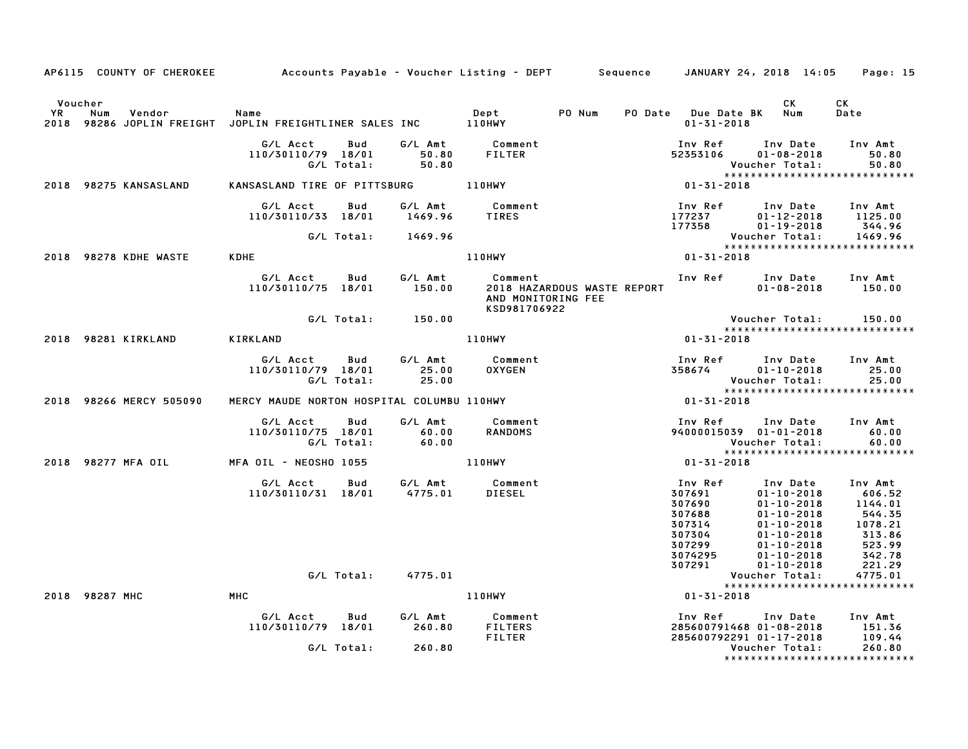|    | AP6115 COUNTY OF CHEROKEE | Accounts Payable – Voucher Listing – DEPT         Sequence                                                                                                                                |                                   |                                               |                           |                                             | JANUARY 24, 2018 14:05                                                                                                                                                                                                                                                                                                                                                                            | Page: 15                                                                                                       |
|----|---------------------------|-------------------------------------------------------------------------------------------------------------------------------------------------------------------------------------------|-----------------------------------|-----------------------------------------------|---------------------------|---------------------------------------------|---------------------------------------------------------------------------------------------------------------------------------------------------------------------------------------------------------------------------------------------------------------------------------------------------------------------------------------------------------------------------------------------------|----------------------------------------------------------------------------------------------------------------|
| YR | Voucher<br>Vendor<br>Num  | Name<br>2018 98286 JOPLIN FREIGHT JOPLIN FREIGHTLINER SALES INC 110HWY                                                                                                                    |                                   | Dept                                          | PO Num                    | PO Date Due Date BK Num<br>$01 - 31 - 2018$ | CK                                                                                                                                                                                                                                                                                                                                                                                                | СK<br>Date                                                                                                     |
|    |                           | G/L Acct<br>Bud<br>110/30110/79 18/01 6/L Amt Comment<br>110/30110/79 18/01 50.80 FILTER 52353106<br>6/L Total: 50.80 6/L Total: 50.80 *****<br>KANSASLAND TIRE OF PITTSBURG 110HWY 110HW | G/L Amt                           | Comment<br>FILTER                             |                           | Inv Ref                                     | Inv Date<br>$01 - 08 - 2018$<br>Voucher Total:                                                                                                                                                                                                                                                                                                                                                    | Inv Amt<br>50.80<br>50.80                                                                                      |
|    | 2018 98275 KANSASLAND     |                                                                                                                                                                                           |                                   |                                               |                           |                                             |                                                                                                                                                                                                                                                                                                                                                                                                   | *****************************                                                                                  |
|    |                           | G/L Acct<br>Bud<br>110/30110/33 18/01                                                                                                                                                     | 1469.96                           |                                               |                           | Inv Ref<br>Inv Ref<br>177237<br>177358      | Inv Date<br>$01 - 12 - 2018$<br>$01 - 19 - 2018$                                                                                                                                                                                                                                                                                                                                                  | Inv Amt<br>1125.00<br>344.96                                                                                   |
|    |                           | G/L Total: 1469.96                                                                                                                                                                        |                                   | Vouc<br>*****<br>01-31-2018 110HWY            |                           |                                             | Voucher Total:                                                                                                                                                                                                                                                                                                                                                                                    | 1469.96<br>*****************************                                                                       |
|    | 2018 98278 KDHE WASTE     | <b>KDHE</b>                                                                                                                                                                               |                                   |                                               |                           |                                             |                                                                                                                                                                                                                                                                                                                                                                                                   |                                                                                                                |
|    |                           | G/L Acct Bud<br>110/30110/75 18/01                                                                                                                                                        | G/L Amt<br>150.00                 | Comment<br>AND MONITORING FEE<br>KSD981706922 |                           | 2018 HAZARDOUS WASTE REPORT                 | Inv Ref Inv Date Inv Amt<br>$01 - 08 - 2018$                                                                                                                                                                                                                                                                                                                                                      | 150.00                                                                                                         |
|    |                           | G/L Total: 150.00                                                                                                                                                                         |                                   |                                               |                           |                                             | Voucher Total:                                                                                                                                                                                                                                                                                                                                                                                    | 150.00<br>*****************************                                                                        |
|    | 2018 98281 KIRKLAND       | KIRKLAND                                                                                                                                                                                  |                                   | <b>110HWY</b>                                 |                           | $01 - 31 - 2018$                            |                                                                                                                                                                                                                                                                                                                                                                                                   |                                                                                                                |
|    |                           | G/L Acct<br><b>Bud</b><br>110/30110/79 18/01<br>G/L Total:                                                                                                                                | G/L Amt<br>25.00<br>25.00         | Comment<br>OXYGEN                             |                           | Inv Ref<br>358674                           | Inv Date Inv Amt<br>$01 - 10 - 2018$<br>Voucher Total:                                                                                                                                                                                                                                                                                                                                            | 25.00<br>25.00<br>*****************************                                                                |
|    | 2018 98266 MERCY 505090   | WERCY MAUDE NORTON HOSPITAL COLUMBU 110HWY                                                                                                                                                |                                   |                                               |                           | $01 - 31 - 2018$                            |                                                                                                                                                                                                                                                                                                                                                                                                   |                                                                                                                |
|    |                           | G/L Acct<br>110/30110/75 18/01<br>G/L Total:                                                                                                                                              | Bud G/L Amt<br>$60.00$<br>$60.00$ | Comment<br><b>RANDOMS</b>                     |                           |                                             | Inv Ref      Inv Date     Inv Amt<br>94000015039 01-01-2018<br>Voucher Total:                                                                                                                                                                                                                                                                                                                     | 60.00<br>60.00<br>******************************                                                               |
|    | 2018 98277 MFA OIL        | MFA OIL – NEOSHO 1055                                                                                                                                                                     |                                   | 110HWY                                        |                           | Vouc<br>*****<br>01-31-2018                 |                                                                                                                                                                                                                                                                                                                                                                                                   |                                                                                                                |
|    |                           | G/L Acct Bud G/L Amt Comment<br>110/30110/31 18/01 4775.01 DIESEL                                                                                                                         |                                   |                                               | <b>Inv Ref<br/>307691</b> |                                             | Inv Date Inv Amt<br>$\begin{array}{c} \text{Inv} \\ 01-10-2\upsilon \\ 01-10-2018 \\ 01-10-2018 \\ 14 & 01-10-2018 \\ 304 & 01-10-2018 \\ 3074 & 01-10-2017 \\ 3074295 & 01-10-20 \\ 307291 & 01-10-2 \\ \text{Voucher T} \\ ********** \\ \text{``}***\\ \text{``}***\\ \text{``}***\\ \text{``}***\\ \text{``}***\\ \text{``}***\\ \text{``}***\\ \text{``}***\\ \text{``}***\\ \text{``}***\\$ | 606.52<br>1144.01<br>544.35<br>1078.21<br>$\begin{array}{r} 2313.86 \\ 523.99 \\ 542.78 \\ 221.29 \end{array}$ |
|    |                           | G/L Total:                                                                                                                                                                                | 4775.01                           |                                               |                           |                                             |                                                                                                                                                                                                                                                                                                                                                                                                   | 4775.01                                                                                                        |
|    | 2018 98287 MHC            | MHC                                                                                                                                                                                       |                                   | <b>110HWY</b>                                 |                           | $01 - 31 - 2018$                            |                                                                                                                                                                                                                                                                                                                                                                                                   | *****************************                                                                                  |
|    |                           | G/L Acct<br><b>Bud</b><br>110/30110/79 18/01 260.80<br>G/L Total: 260.80                                                                                                                  |                                   | G/L Amt Comment<br>FILTERS<br>FILTER          |                           |                                             | Inv Ref Inv Date Inv Amt<br>285600791468 01-08-2018<br>285600792291 01-17-2018<br>Voucher Total:                                                                                                                                                                                                                                                                                                  | 151.36<br>109.44<br>260.80                                                                                     |
|    |                           |                                                                                                                                                                                           |                                   |                                               |                           |                                             |                                                                                                                                                                                                                                                                                                                                                                                                   | *****************************                                                                                  |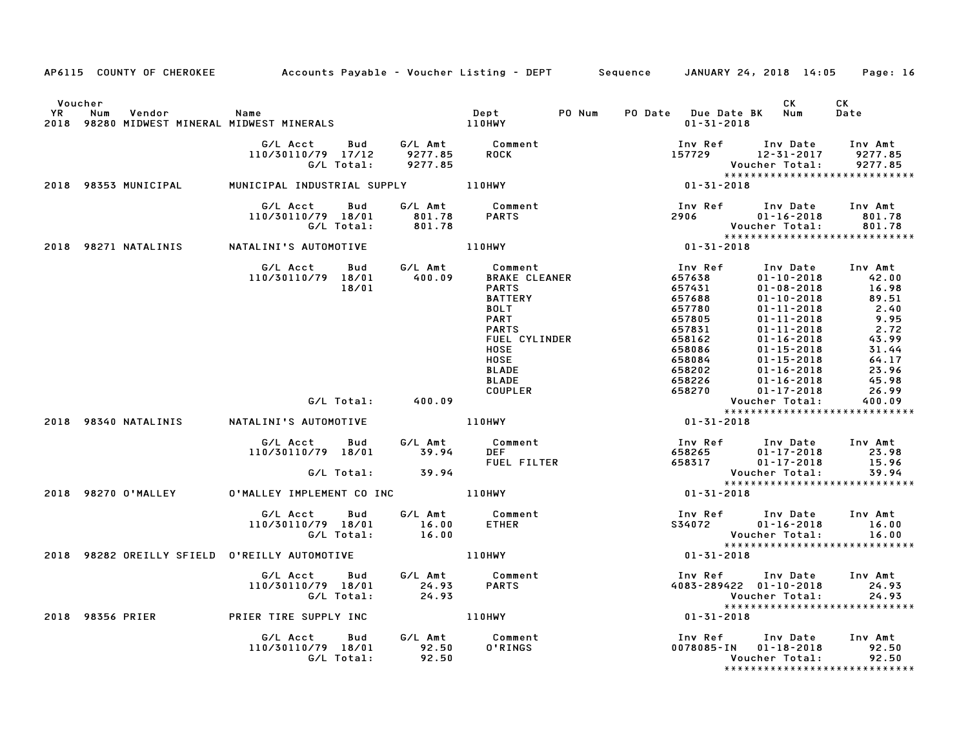|                      |                      | AP6115 COUNTY OF CHEROKEE Accounts Payable - Voucher Listing - DEPT Sequence JANUARY 24, 2018 14:05 Page: 16                                                                                                                                        |                    |                    |                                                                                                                                                                            |                                                                                                                                                                                                                                                                                                            |                |
|----------------------|----------------------|-----------------------------------------------------------------------------------------------------------------------------------------------------------------------------------------------------------------------------------------------------|--------------------|--------------------|----------------------------------------------------------------------------------------------------------------------------------------------------------------------------|------------------------------------------------------------------------------------------------------------------------------------------------------------------------------------------------------------------------------------------------------------------------------------------------------------|----------------|
| Voucher<br><b>YR</b> | Vendor Name<br>Num   | 110HWY 10HW NOWEST MINERALS<br>2018 98280 MIDWEST MINERAL MIDWEST MINERALS<br>2018 98280 MIDWEST MINERAL MIDWEST MINERALS                                                                                                                           |                    | Dept PO Num        | PO Date Due Date BK Num<br>$01 - 31 - 2018$                                                                                                                                | CK .                                                                                                                                                                                                                                                                                                       | CK<br>Date     |
|                      |                      | G/L Acct        Bud          G/L Amt             Comment<br>110/30110/79    17/12          9277.85        ROCK<br>110/30110/79 17/12<br>G/L Total:                                                                                                  | 9277.85            |                    |                                                                                                                                                                            | Inv Ref      Inv Date     Inv Amt<br>157729               12-31-2017          9277.85<br>Voucher Total: 9277.85<br>****************************                                                                                                                                                            |                |
|                      | 2018 98353 MUNICIPAL | MUNICIPAL INDUSTRIAL SUPPLY 110HWY                                                                                                                                                                                                                  |                    |                    | $****$<br>01-31-2018                                                                                                                                                       |                                                                                                                                                                                                                                                                                                            |                |
|                      |                      | G/L Acct  Bud  G/L Amt  Comment<br>110/30110/79  18/01  801.78  PARTS<br>G/L Total:  801.78                                                                                                                                                         |                    |                    |                                                                                                                                                                            |                                                                                                                                                                                                                                                                                                            |                |
|                      |                      | 2018 98271 NATALINIS NATALINI'S AUTOMOTIVE 110HWY                                                                                                                                                                                                   |                    |                    |                                                                                                                                                                            |                                                                                                                                                                                                                                                                                                            |                |
|                      |                      | G/L Acct Bud G/L Amt Comment Inv Ref<br>10/30110/79 18/01 400.09 BRAKE CLEANER 657638<br>18/01 BATTERY 657688<br>BATTERY 657688<br>BATTERY 65780<br>PARTS 65780<br>PARTS 657805<br>PARTS 658162<br>HOSE HOSE<br>HOSE BLADE<br>BLADE 658084<br>SALDE |                    |                    | $\begin{array}{r} 10V \: \: \sf{Re}\, \sf{F} \\ 657633 \\ 657633 \\ 657688 \\ 657780 \\ 657805 \\ 658162 \\ 658086 \\ 658084 \\ 658202 \\ 658226 \\ 658270 \\ \end{array}$ | Inv Date Inv Amt<br>1nv Date<br>01-10-2018<br>01-10-2018<br>01-10-2018<br>01-11-2018<br>01-11-2018<br>01-11-2018<br>01-11-2018<br>01-14-2018<br>01-15-2018<br>01-16-2018<br>01-16-2018<br>01-16-2018<br>01-16-2018<br>01-16-2018<br>01-16-2018<br>01-16-2018<br>01-16-2018<br>01-16-20<br>$01 - 16 - 2018$ | 45.98<br>26.99 |
|                      |                      | G/L Total: 400.09                                                                                                                                                                                                                                   |                    |                    |                                                                                                                                                                            | $01 - 17 - 2018$<br>Voucher Total:                                                                                                                                                                                                                                                                         | 400.09         |
|                      |                      | 2018 98340 NATALINIS NATALINI'S AUTOMOTIVE 110HWY                                                                                                                                                                                                   |                    |                    | Vouc<br>*****<br>01-31-2018                                                                                                                                                | *****************************                                                                                                                                                                                                                                                                              |                |
|                      |                      | G/L Acct Bud G/L Amt Comment<br>110/30110/79 18/01 39.94 DEF<br>G/L Total:            39.94                                                                                                                                                         |                    | <b>FUEL FILTER</b> |                                                                                                                                                                            | 01-17-2018 23.98<br>01-17-2018 15.96                                                                                                                                                                                                                                                                       |                |
|                      |                      | 2018 98270 O'MALLEY O'MALLEY IMPLEMENT CO INC 110HWY                                                                                                                                                                                                |                    |                    | $01 - 31 - 2018$                                                                                                                                                           | *****************************                                                                                                                                                                                                                                                                              |                |
|                      |                      | G/L Acct  Bud  G/L Amt  Comment<br>110/30110/79  18/01  16.00  ETHER<br>G/L  Total:  16.00                                                                                                                                                          |                    |                    |                                                                                                                                                                            | Inv Ref Inv Date Inv Amt<br>S34072 01-16-2018 16.00<br>Voucher Total:                                                                                                                                                                                                                                      | 16.00          |
|                      |                      | 2018 98282 OREILLY SFIELD O'REILLY AUTOMOTIVE   110HWY                                                                                                                                                                                              |                    |                    | $01 - 31 - 2018$                                                                                                                                                           |                                                                                                                                                                                                                                                                                                            |                |
|                      |                      | G/L Acct Bud G/L Amt Comment<br>110/30110/79 18/01<br>G/L Total:                                                                                                                                                                                    | $24.93$<br>$24.93$ | Comment<br>PARTS   |                                                                                                                                                                            | Inv Ref Inv Date Inv Amt<br>4083-289422 01-10-2018 24.93<br>Voucher Total: 24.93<br>Voucher Total: 24.93<br>****************************                                                                                                                                                                   | 24.93          |
|                      |                      | 2018 98356 PRIER PRIER TIRE SUPPLY INC 110HWY                                                                                                                                                                                                       |                    |                    | $01 - 31 - 2018$                                                                                                                                                           |                                                                                                                                                                                                                                                                                                            |                |
|                      |                      | G/L Acct Bud G/L Amt Comment<br>110/30110/79 18/01 92.50<br>G/L Total: 92.50                                                                                                                                                                        |                    | 0'RINGS            |                                                                                                                                                                            | Inv Ref Inv Date Inv Amt<br>0078085-IN 01-18-2018<br>Voucher Total:<br>*****************************                                                                                                                                                                                                       | 92.50<br>92.50 |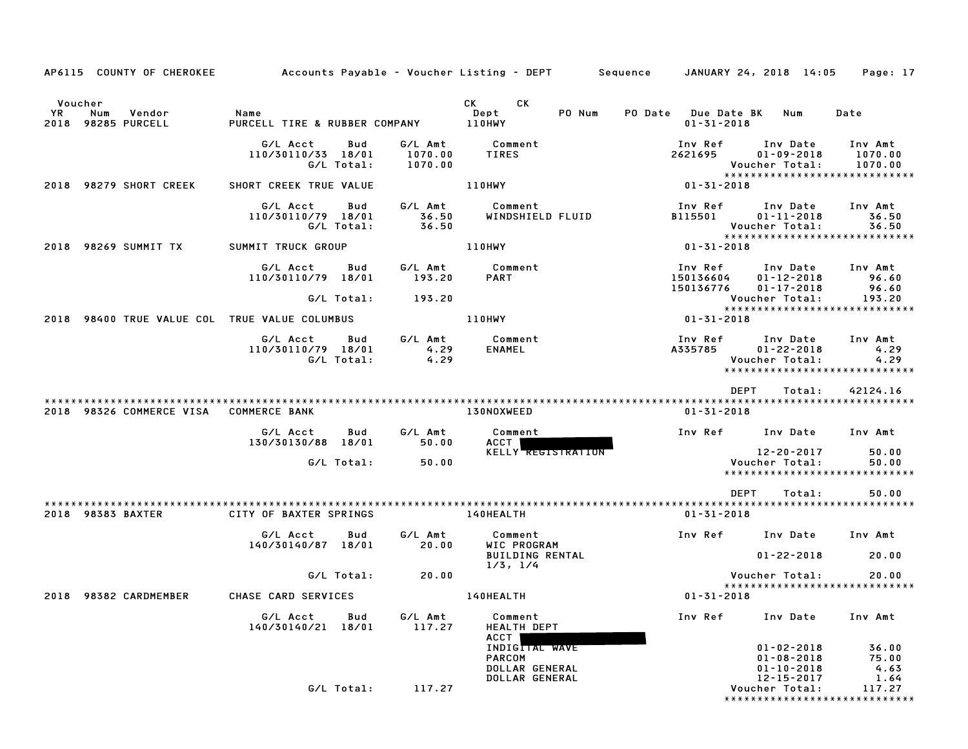| AP6115 COUNTY OF CHEROKEE                            |                                                     |                               | Accounts Payable – Voucher Listing – DEPT         Sequence                  | JANUARY 24, 2018 14:05                                                                                                                 | Page: 17                       |
|------------------------------------------------------|-----------------------------------------------------|-------------------------------|-----------------------------------------------------------------------------|----------------------------------------------------------------------------------------------------------------------------------------|--------------------------------|
| Voucher<br>YR<br>Num<br>Vendor<br>2018 98285 PURCELL | Name<br>PURCELL TIRE & RUBBER COMPANY               |                               | CK<br>CK<br>Dept<br>PO Num<br>110HWY                                        | PO Date<br>Due Date BK<br>Num<br>Date<br>$01 - 31 - 2018$                                                                              |                                |
|                                                      | G/L Acct<br>Bud<br>110/30110/33 18/01<br>G/L Total: | G/L Amt<br>1070.00<br>1070.00 | Comment<br><b>TIRES</b>                                                     | Inv Ref<br>Inv Date<br>Inv Amt<br>2621695<br>$01 - 09 - 2018$<br>1070.00<br>Voucher Total:<br>1070.00<br>***************************** |                                |
| 98279 SHORT CREEK<br>2018                            | SHORT CREEK TRUE VALUE                              |                               | 110HWY                                                                      | 01-31-2018                                                                                                                             |                                |
|                                                      | G/L Acct<br>Bud<br>110/30110/79 18/01<br>G/L Total: | G/L Amt<br>36.50<br>36.50     | Comment<br>WINDSHIELD FLUID                                                 | Inv Ref<br>Inv Amt<br>Inv Date<br>B115501<br>$01 - 11 - 2018$<br>Voucher Total:                                                        | 36.50<br>36.50                 |
| 98269 SUMMIT TX<br>2018                              | SUMMIT TRUCK GROUP                                  |                               | <b>110HWY</b>                                                               | *****************************<br>01-31-2018                                                                                            |                                |
|                                                      | G/L Acct<br>Bud<br>110/30110/79 18/01<br>G/L Total: | G/L Amt<br>193.20<br>193.20   | Comment<br><b>PART</b>                                                      | Inv Ref<br>Inv Amt<br>Inv Date<br>150136604<br>$01 - 12 - 2018$<br>150136776<br>$01 - 17 - 2018$<br>Voucher Total:                     | 96.60<br>96.60<br>193.20       |
| 98400 TRUE VALUE COL TRUE VALUE COLUMBUS<br>2018     |                                                     |                               | <b>110HWY</b>                                                               | *****************************<br>01-31-2018                                                                                            |                                |
|                                                      | G/L Acct<br>Bud<br>110/30110/79 18/01<br>G/L Total: | G/L Amt<br>4.29<br>4.29       | Comment<br><b>ENAMEL</b>                                                    | Inv Ref<br>Inv Date<br>Inv Amt<br>A335785<br>$01 - 22 - 2018$<br>Voucher Total:<br>*****************************                       | 4.29<br>4.29                   |
| 2018 98326 COMMERCE VISA                             | <b>COMMERCE BANK</b>                                |                               | 130NOXWEED                                                                  | <b>DEPT</b><br>42124.16<br>Total:<br>$01 - 31 - 2018$                                                                                  |                                |
|                                                      | G/L Acct<br>Bud<br>130/30130/88<br>18/01            | G/L Amt<br>50.00              | Comment<br>ACCT                                                             | Inv Ref<br>Inv Date<br>Inv Amt                                                                                                         |                                |
|                                                      | G/L Total:                                          | 50.00                         | <b>KELLY REGISTRATION</b>                                                   | 12-20-2017<br>Voucher Total:<br>*****************************                                                                          | 50.00<br>50.00                 |
|                                                      |                                                     |                               |                                                                             | <b>DEPT</b><br>Total:                                                                                                                  | 50.00                          |
| 2018 98383 BAXTER                                    | CITY OF BAXTER SPRINGS                              |                               | 140HEALTH                                                                   | $01 - 31 - 2018$                                                                                                                       |                                |
|                                                      | G/L Acct<br>Bud<br>140/30140/87 18/01               | G/L Amt<br>20.00              | Comment<br>WIC PROGRAM                                                      | Inv Ref<br>Inv Date<br>Inv Amt                                                                                                         |                                |
|                                                      |                                                     |                               | <b>BUILDING RENTAL</b><br>1/3, 1/4                                          | $01 - 22 - 2018$                                                                                                                       | 20.00                          |
| 2018 98382 CARDMEMBER                                | G/L Total:<br>CHASE CARD SERVICES                   | 20.00                         | 140HEALTH                                                                   | Voucher Total:<br>*****************************<br>$01 - 31 - 2018$                                                                    | 20.00                          |
|                                                      | G/L Acct<br>Bud<br>140/30140/21 18/01               | G/L Amt<br>117.27             | Comment<br><b>HEALTH DEPT</b>                                               | Inv Ref<br>Inv Date<br>Inv Amt                                                                                                         |                                |
|                                                      |                                                     |                               | ACCT<br>INDIGITAL WAVE<br><b>PARCOM</b><br>DOLLAR GENERAL<br>DOLLAR GENERAL | $01 - 02 - 2018$<br>$01 - 08 - 2018$<br>01-10-2018<br>12-15-2017                                                                       | 36.00<br>75.00<br>4.63<br>1.64 |
|                                                      | G/L Total:                                          | 117.27                        |                                                                             | Voucher Total:<br>* * * * * * * * * * * * * * * * * *                                                                                  | 117.27<br>* * * * * * * * *    |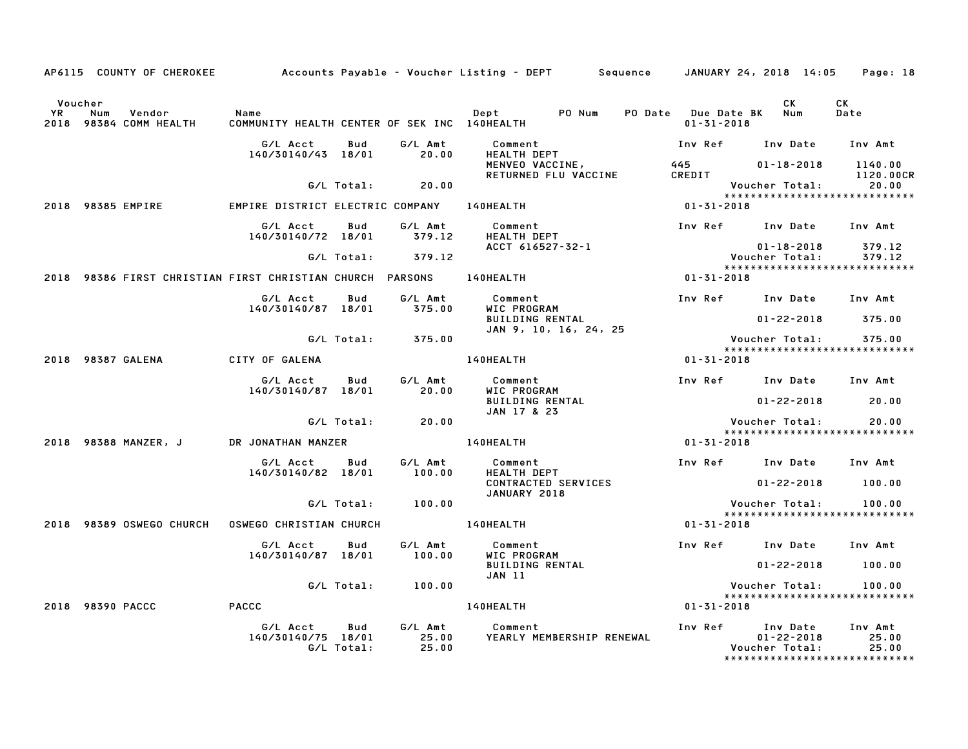|                      | AP6115 COUNTY OF CHEROKEE                                           |                                                      |                   |                           | Accounts Payable – Voucher Listing – DEPT         Sequence     JANUARY 24, 2018  14:05 |                                             |                                                                                          | Page: 18                      |
|----------------------|---------------------------------------------------------------------|------------------------------------------------------|-------------------|---------------------------|----------------------------------------------------------------------------------------|---------------------------------------------|------------------------------------------------------------------------------------------|-------------------------------|
| Voucher<br><b>YR</b> | Num<br>Vendor<br>2018 98384 COMM HEALTH                             | Name<br>COMMUNITY HEALTH CENTER OF SEK INC 140HEALTH |                   |                           | PO Num<br>Dept                                                                         | PO Date Due Date BK Num<br>$01 - 31 - 2018$ | CK.                                                                                      | CK<br>Date                    |
|                      |                                                                     | G/L Acct<br>140/30140/43 18/01                       | Bud               | G/L Amt<br>20.00          | Comment<br>HEALTH DEPT                                                                 |                                             | Inv Ref Inv Date Inv Amt                                                                 |                               |
|                      |                                                                     |                                                      |                   |                           | MENVEO VACCINE,<br>RETURNED FLU VACCINE                                                | CREDIT                                      | $01 - 18 - 2018$                                                                         | 1140.00<br>1120.00CR<br>20.00 |
|                      |                                                                     |                                                      | G/L Total:        | 20.00                     |                                                                                        |                                             | Voucher Total:<br>*****************************                                          |                               |
|                      | 2018 98385 EMPIRE                                                   | EMPIRE DISTRICT ELECTRIC COMPANY 140HEALTH           |                   |                           |                                                                                        | 01-31-2018                                  |                                                                                          |                               |
|                      |                                                                     | G/L Acct<br>140/30140/72 18/01                       | Bud               | G/L Amt<br>379.12         | Comment<br>HEALTH DEPT                                                                 |                                             | Inv Ref Inv Date Inv Amt                                                                 |                               |
|                      |                                                                     |                                                      | G/L Total:        | 379.12                    | ACCT 616527-32-1                                                                       |                                             | $01 - 18 - 2018$<br>Voucher Total:                                                       | 379.12<br>379.12              |
|                      | 2018 98386 FIRST CHRISTIAN FIRST CHRISTIAN CHURCH PARSONS 140HEALTH |                                                      |                   |                           |                                                                                        | 01-31-2018                                  | *****************************                                                            |                               |
|                      |                                                                     | G/L Acct<br>140/30140/87 18/01                       | Bud               | G/L Amt<br>375.00         | Comment<br>WIC PROGRAM                                                                 |                                             | Inv Ref Inv Date                                                                         | Inv Amt                       |
|                      |                                                                     |                                                      |                   |                           | <b>BUILDING RENTAL</b><br>JAN 9, 10, 16, 24, 25                                        |                                             | $01 - 22 - 2018$                                                                         | 375.00                        |
|                      |                                                                     |                                                      | G/L Total:        | 375.00                    |                                                                                        |                                             | Voucher Total:<br>*****************************                                          | 375.00                        |
|                      | 2018 98387 GALENA                                                   | CITY OF GALENA                                       |                   |                           | 140HEALTH                                                                              | $01 - 31 - 2018$                            |                                                                                          |                               |
|                      |                                                                     | G/L Acct<br>140/30140/87 18/01                       | Bud               | G/L Amt<br>20.00          | Comment<br>WIC PROGRAM<br><b>BUILDING RENTAL</b>                                       |                                             | Inv Ref Inv Date Inv Amt<br>$01 - 22 - 2018$                                             | 20.00                         |
|                      |                                                                     |                                                      | G/L Total:        | 20.00                     | JAN 17 & 23                                                                            |                                             | Voucher Total:                                                                           | 20.00                         |
|                      |                                                                     |                                                      |                   |                           |                                                                                        |                                             | *****************************                                                            |                               |
|                      | 2018 98388 MANZER, J                                                | DR JONATHAN MANZER                                   |                   |                           | 140HEALTH                                                                              | 01-31-2018                                  |                                                                                          |                               |
|                      |                                                                     | G/L Acct<br>140/30140/82 18/01                       | Bud               | G/L Amt<br>100.00         | Comment<br><b>HEALTH DEPT</b>                                                          |                                             | Inv Ref Inv Date Inv Amt                                                                 |                               |
|                      |                                                                     |                                                      |                   |                           | <b>CONTRACTED SERVICES</b><br>JANUARY 2018                                             |                                             | $01 - 22 - 2018$                                                                         | 100.00                        |
|                      |                                                                     |                                                      | G/L Total:        | 100.00                    |                                                                                        |                                             | Voucher Total:<br>*****************************                                          | 100.00                        |
|                      | 2018 98389 OSWEGO CHURCH                                            | <b>OSWEGO CHRISTIAN CHURCH</b>                       |                   |                           | 140HEALTH                                                                              | 01-31-2018                                  |                                                                                          |                               |
|                      |                                                                     | G/L Acct<br>140/30140/87 18/01                       | Bud               | G/L Amt<br>100.00         | Comment<br>WIC PROGRAM                                                                 |                                             | Inv Ref Inv Date                                                                         | Inv Amt                       |
|                      |                                                                     |                                                      |                   |                           | <b>BUILDING RENTAL</b><br>JAN 11                                                       |                                             | $01 - 22 - 2018$                                                                         | 100.00                        |
|                      |                                                                     |                                                      | G/L Total:        | 100.00                    |                                                                                        |                                             | Voucher Total:<br>*****************************                                          | 100.00                        |
|                      | 2018 98390 PACCC                                                    | <b>PACCC</b>                                         |                   |                           | 140HEALTH                                                                              | 01-31-2018                                  |                                                                                          |                               |
|                      |                                                                     | G/L Acct<br>140/30140/75 18/01                       | Bud<br>G/L Total: | G/L Amt<br>25.00<br>25.00 | Comment<br>YEARLY MEMBERSHIP RENEWAL                                                   |                                             | Inv Ref Inv Date<br>$01 - 22 - 2018$<br>Voucher Total:<br>****************************** | Inv Amt<br>25.00<br>25.00     |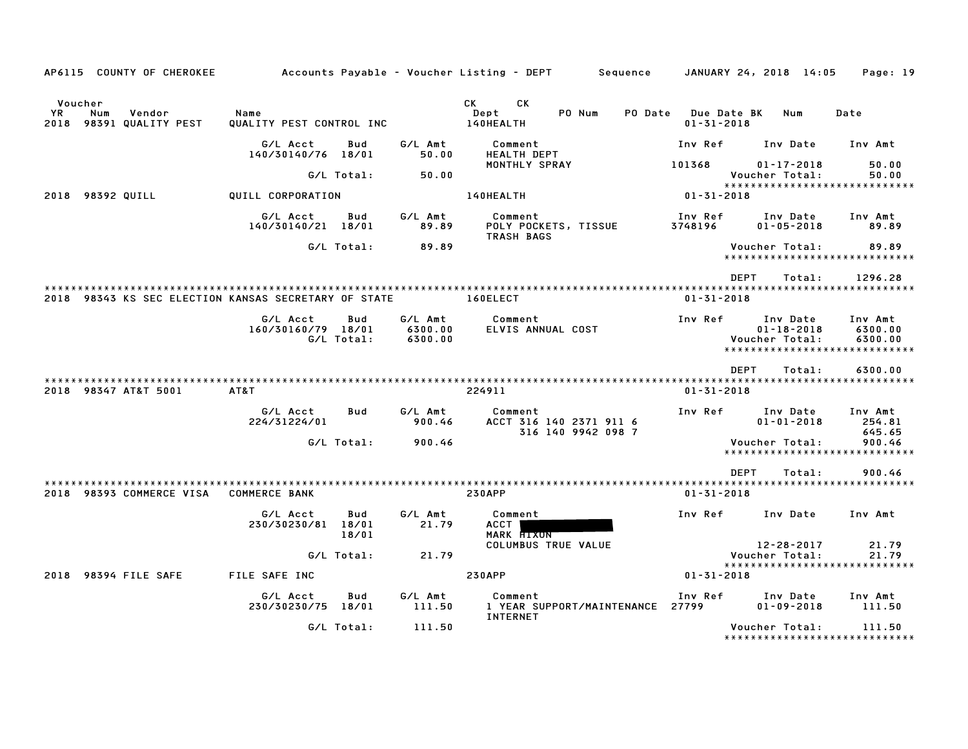| AP6115 COUNTY OF CHEROKEE                                  |                                              |              |                               | Accounts Payable – Voucher Listing – DEPT<br>Sequence          |                                        | JANUARY 24, 2018 14:05                                                          | Page: 19                      |
|------------------------------------------------------------|----------------------------------------------|--------------|-------------------------------|----------------------------------------------------------------|----------------------------------------|---------------------------------------------------------------------------------|-------------------------------|
| Voucher<br>YR.<br>Vendor<br>Num<br>2018 98391 QUALITY PEST | Name<br>QUALITY PEST CONTROL INC             |              |                               | CK<br>СK<br>PO Num<br>Dept<br>PO Date<br>140HEALTH             | <b>Due Date BK</b><br>$01 - 31 - 2018$ | Num                                                                             | Date                          |
|                                                            | G/L Acct<br>140/30140/76 18/01               | Bud          | G/L Amt<br>50.00              | Comment<br>HEALTH DEPT                                         | Inv Ref                                | Inv Date                                                                        | Inv Amt                       |
|                                                            | G/L Total:                                   |              | 50.00                         | MONTHLY SPRAY                                                  | 101368                                 | $01 - 17 - 2018$<br>Voucher Total:                                              | 50.00<br>50.00                |
| 98392 QUILL<br>2018                                        | QUILL CORPORATION                            |              |                               | 140HEALTH                                                      | $01 - 31 - 2018$                       | *****************************                                                   |                               |
|                                                            | G/L Acct<br>140/30140/21 18/01               | Bud          | G/L Amt<br>89.89              | Comment<br>POLY POCKETS, TISSUE<br>TRASH BAGS                  | Inv Ref<br>3748196                     | Inv Date<br>$01 - 05 - 2018$                                                    | Inv Amt<br>89.89              |
|                                                            | G/L Total:                                   |              | 89.89                         |                                                                |                                        | Voucher Total:<br>*****************************                                 | 89.89                         |
|                                                            |                                              |              |                               |                                                                | <b>DEPT</b>                            | Total:                                                                          | 1296.28                       |
| 2018 98343 KS SEC ELECTION KANSAS SECRETARY OF STATE       |                                              |              |                               | 160ELECT                                                       | $01 - 31 - 2018$                       |                                                                                 |                               |
|                                                            | G/L Acct<br>160/30160/79 18/01<br>G/L Total: | Bud          | G/L Amt<br>6300.00<br>6300.00 | Comment<br>ELVIS ANNUAL COST                                   | Inv Ref                                | Inv Date<br>$01 - 18 - 2018$<br>Voucher Total:<br>***************************** | Inv Amt<br>6300.00<br>6300.00 |
|                                                            |                                              |              |                               |                                                                | <b>DEPT</b>                            | Total:                                                                          | 6300.00                       |
| 2018 98347 AT&T 5001                                       | AT&T                                         |              |                               | 224911                                                         | $01 - 31 - 2018$                       |                                                                                 |                               |
|                                                            | G/L Acct<br>224/31224/01                     | Bud          | G/L Amt<br>900.46             | Comment<br>ACCT 316 140 2371 911 6<br>316 140 9942 098 7       | Inv Ref                                | Inv Date<br>$01 - 01 - 2018$                                                    | Inv Amt<br>254.81<br>645.65   |
|                                                            | G/L Total:                                   |              | 900.46                        |                                                                |                                        | Voucher Total:<br>*****************************                                 | 900.46                        |
| 2018 98393 COMMERCE VISA                                   | <b>COMMERCE BANK</b>                         |              |                               | <b>230APP</b>                                                  | <b>DEPT</b><br>$01 - 31 - 2018$        | Total:                                                                          | 900.46                        |
|                                                            | G/L Acct<br>230/30230/81 18/01               | Bud<br>18/01 | G/L Amt<br>21.79              | Comment<br>ACCT<br><b>MARK FIXUN</b>                           | Inv Ref                                | Inv Date                                                                        | Inv Amt                       |
|                                                            | G/L Total:                                   |              | 21.79                         | <b>COLUMBUS TRUE VALUE</b>                                     |                                        | $12 - 28 - 2017$<br>Voucher Total:<br>*****************************             | 21.79<br>21.79                |
| 2018 98394 FILE SAFE                                       | FILE SAFE INC                                |              |                               | <b>230APP</b>                                                  | $01 - 31 - 2018$                       |                                                                                 |                               |
|                                                            | G/L Acct<br>230/30230/75 18/01               | Bud          | G/L Amt<br>111.50             | Comment<br>1 YEAR SUPPORT/MAINTENANCE 27799<br><b>INTERNET</b> | Inv Ref                                | Inv Date<br>$01 - 09 - 2018$                                                    | Inv Amt<br>111.50             |
|                                                            | G/L Total:                                   |              | 111.50                        |                                                                |                                        | Voucher Total:<br>*****************************                                 | 111.50                        |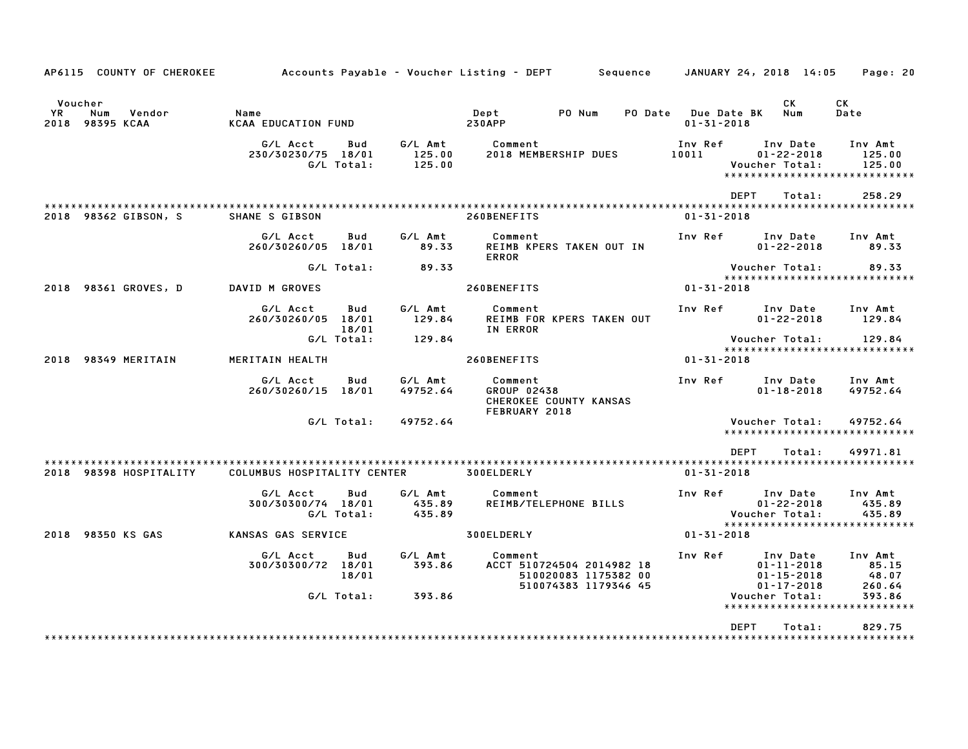| AP6115 COUNTY OF CHEROKEE                         | Accounts Payable – Voucher Listing – DEPT         Sequence |                       |                             |                                         |                                                                           |         |                                        | JANUARY 24, 2018 14:05                                               | Page: 20                                                     |
|---------------------------------------------------|------------------------------------------------------------|-----------------------|-----------------------------|-----------------------------------------|---------------------------------------------------------------------------|---------|----------------------------------------|----------------------------------------------------------------------|--------------------------------------------------------------|
| Voucher<br>Num<br>Vendor<br>YR<br>2018 98395 KCAA | Name<br><b>KCAA EDUCATION FUND</b>                         |                       |                             | Dept<br><b>230APP</b>                   | PO Num                                                                    | PO Date | <b>Due Date BK</b><br>$01 - 31 - 2018$ | СK<br>Num                                                            | <b>CK</b><br>Date                                            |
|                                                   | G/L Acct<br>230/30230/75 18/01<br>G/L Total:               | Bud                   | G/L Amt<br>125.00<br>125.00 | Comment                                 | 2018 MEMBERSHIP DUES                                                      |         | Inv Ref<br>10011                       | Inv Date<br>$01 - 22 - 2018$<br>Voucher Total:                       | Inv Amt<br>125.00<br>125.00<br>***************************** |
|                                                   |                                                            |                       |                             |                                         |                                                                           |         |                                        | <b>DEPT</b><br>Total:                                                | 258.29                                                       |
| 2018 98362 GIBSON, S                              | SHANE S GIBSON                                             |                       |                             | 260BENEFITS                             |                                                                           |         | $01 - 31 - 2018$                       |                                                                      |                                                              |
|                                                   | G/L Acct<br>260/30260/05 18/01                             | Bud                   | G/L Amt<br>89.33            | Comment<br><b>ERROR</b>                 | REIMB KPERS TAKEN OUT IN                                                  |         | Inv Ref                                | Inv Date<br>$01 - 22 - 2018$                                         | Inv Amt<br>89.33                                             |
|                                                   | G/L Total:                                                 |                       | 89.33                       |                                         |                                                                           |         |                                        | Voucher Total:                                                       | 89.33<br>*****************************                       |
| 2018 98361 GROVES, D                              | DAVID M GROVES                                             |                       |                             | 260BENEFITS                             |                                                                           |         | $01 - 31 - 2018$                       |                                                                      |                                                              |
|                                                   | G/L Acct<br>260/30260/05 18/01                             | Bud<br>18/01          | G/L Amt<br>129.84           | Comment<br>IN ERROR                     | REIMB FOR KPERS TAKEN OUT                                                 |         | Inv Ref                                | Inv Date<br>$01 - 22 - 2018$                                         | Inv Amt<br>129.84                                            |
|                                                   | G/L Total:                                                 |                       | 129.84                      |                                         |                                                                           |         |                                        | Voucher Total:                                                       | 129.84<br>****************************                       |
| 2018 98349 MERITAIN                               | MERITAIN HEALTH                                            |                       |                             | 260BENEFITS                             |                                                                           |         | $01 - 31 - 2018$                       |                                                                      |                                                              |
|                                                   | G/L Acct<br>260/30260/15 18/01                             | Bud                   | G/L Amt<br>49752.64         | Comment<br>GROUP 02438<br>FEBRUARY 2018 | CHEROKEE COUNTY KANSAS                                                    |         | Inv Ref                                | Inv Date<br>$01 - 18 - 2018$                                         | Inv Amt<br>49752.64                                          |
|                                                   | G/L Total:                                                 |                       | 49752.64                    |                                         |                                                                           |         |                                        | Voucher Total:                                                       | 49752.64<br>*****************************                    |
|                                                   |                                                            |                       |                             |                                         |                                                                           |         |                                        | DEPT<br>Total:                                                       | 49971.81                                                     |
| 2018 98398 HOSPITALITY                            | COLUMBUS HOSPITALITY CENTER                                |                       |                             | 300ELDERLY                              |                                                                           |         | $01 - 31 - 2018$                       |                                                                      |                                                              |
|                                                   | G/L Acct<br>300/30300/74 18/01<br>G/L Total:               | Bud                   | G/L Amt<br>435.89<br>435.89 | Comment                                 | REIMB/TELEPHONE BILLS                                                     |         | Inv Ref                                | Inv Date<br>$01 - 22 - 2018$<br>Voucher Total:                       | Inv Amt<br>435.89<br>435.89<br>***************************** |
| 2018 98350 KS GAS                                 | KANSAS GAS SERVICE                                         |                       |                             | 300ELDERLY                              |                                                                           |         | $01 - 31 - 2018$                       |                                                                      |                                                              |
|                                                   | G/L Acct<br>300/30300/72                                   | Bud<br>18/01<br>18/01 | G/L Amt<br>393.86           | Comment                                 | ACCT 510724504 2014982 18<br>510020083 1175382 00<br>510074383 1179346 45 |         | Inv Ref                                | Inv Date<br>$01 - 11 - 2018$<br>$01 - 15 - 2018$<br>$01 - 17 - 2018$ | Inv Amt<br>85.15<br>48.07<br>260.64                          |
|                                                   | G/L Total:                                                 |                       | 393.86                      |                                         |                                                                           |         |                                        | Voucher Total:<br>*********************                              | 393.86                                                       |
|                                                   |                                                            |                       |                             |                                         |                                                                           |         |                                        | <b>DEPT</b><br>Total:                                                | 829.75                                                       |
|                                                   |                                                            |                       |                             |                                         |                                                                           |         |                                        |                                                                      |                                                              |